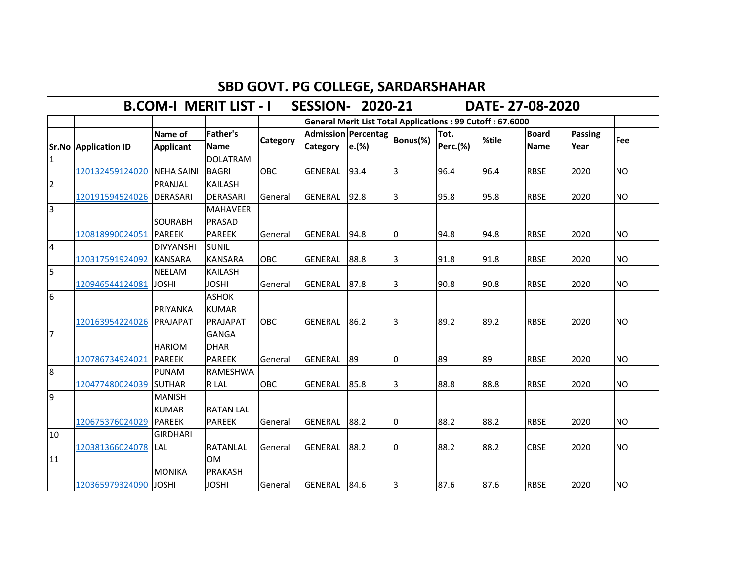## **SBD GOVT. PG COLLEGE, SARDARSHAHAR<br>IT LIST - I SESSION- 2020-21 DATE- 27-08-2020**

**B.COM-I MERIT LIST - I SESSION- 2020-21** 

|                 |                             |                  |                  |            | <b>General Merit List Total Applications: 99 Cutoff: 67.6000</b><br>Admission Percentag Bonus(%)<br>Tot.<br><b>Board</b><br><b>Passing</b><br>%tile<br>Perc.(%)<br>e.(%)<br><b>Name</b><br>Year<br>Category |      |    |      |      |             |      |           |
|-----------------|-----------------------------|------------------|------------------|------------|-------------------------------------------------------------------------------------------------------------------------------------------------------------------------------------------------------------|------|----|------|------|-------------|------|-----------|
|                 |                             | Name of          | Father's         |            |                                                                                                                                                                                                             |      |    |      |      |             |      | Fee       |
|                 | <b>Sr.No Application ID</b> | <b>Applicant</b> | <b>Name</b>      | Category   |                                                                                                                                                                                                             |      |    |      |      |             |      |           |
| $\overline{1}$  |                             |                  | <b>DOLATRAM</b>  |            |                                                                                                                                                                                                             |      |    |      |      |             |      |           |
|                 | 120132459124020 NEHA SAINI  |                  | <b>BAGRI</b>     | OBC        | <b>GENERAL</b>                                                                                                                                                                                              | 93.4 | 3  | 96.4 | 96.4 | <b>RBSE</b> | 2020 | <b>NO</b> |
| $\overline{2}$  |                             | PRANJAL          | <b>KAILASH</b>   |            |                                                                                                                                                                                                             |      |    |      |      |             |      |           |
|                 | 120191594524026             | <b>IDERASARI</b> | <b>DERASARI</b>  | General    | <b>GENERAL</b>                                                                                                                                                                                              | 92.8 | 3  | 95.8 | 95.8 | <b>RBSE</b> | 2020 | <b>NO</b> |
| $\overline{3}$  |                             |                  | <b>MAHAVEER</b>  |            |                                                                                                                                                                                                             |      |    |      |      |             |      |           |
|                 |                             | <b>SOURABH</b>   | PRASAD           |            |                                                                                                                                                                                                             |      |    |      |      |             |      |           |
|                 | 120818990024051             | <b>PAREEK</b>    | <b>PAREEK</b>    | General    | <b>GENERAL</b>                                                                                                                                                                                              | 94.8 | 10 | 94.8 | 94.8 | <b>RBSE</b> | 2020 | <b>NO</b> |
| $\overline{4}$  |                             | <b>DIVYANSHI</b> | <b>SUNIL</b>     |            |                                                                                                                                                                                                             |      |    |      |      |             |      |           |
|                 | 120317591924092             | <b>KANSARA</b>   | <b>KANSARA</b>   | <b>OBC</b> | <b>GENERAL</b>                                                                                                                                                                                              | 88.8 | 3  | 91.8 | 91.8 | <b>RBSE</b> | 2020 | <b>NO</b> |
| 5               |                             | <b>NEELAM</b>    | <b>KAILASH</b>   |            |                                                                                                                                                                                                             |      |    |      |      |             |      |           |
|                 | 120946544124081             | <b>JOSHI</b>     | <b>JOSHI</b>     | General    | <b>GENERAL</b>                                                                                                                                                                                              | 87.8 | 3  | 90.8 | 90.8 | <b>RBSE</b> | 2020 | <b>NO</b> |
| $6\overline{6}$ |                             |                  | <b>ASHOK</b>     |            |                                                                                                                                                                                                             |      |    |      |      |             |      |           |
|                 |                             | <b>PRIYANKA</b>  | <b>KUMAR</b>     |            |                                                                                                                                                                                                             |      |    |      |      |             |      |           |
|                 | 120163954224026 PRAJAPAT    |                  | <b>PRAJAPAT</b>  | <b>OBC</b> | <b>GENERAL</b>                                                                                                                                                                                              | 86.2 | 3  | 89.2 | 89.2 | <b>RBSE</b> | 2020 | <b>NO</b> |
| 7               |                             |                  | <b>GANGA</b>     |            |                                                                                                                                                                                                             |      |    |      |      |             |      |           |
|                 |                             | <b>HARIOM</b>    | <b>DHAR</b>      |            |                                                                                                                                                                                                             |      |    |      |      |             |      |           |
|                 | 120786734924021             | <b>PAREEK</b>    | <b>PAREEK</b>    | General    | GENERAL                                                                                                                                                                                                     | 89   | I0 | 89   | 89   | <b>RBSE</b> | 2020 | <b>NO</b> |
| 8               |                             | <b>PUNAM</b>     | RAMESHWA         |            |                                                                                                                                                                                                             |      |    |      |      |             |      |           |
|                 | 120477480024039 SUTHAR      |                  | R LAL            | OBC        | <b>GENERAL</b>                                                                                                                                                                                              | 85.8 | 3  | 88.8 | 88.8 | <b>RBSE</b> | 2020 | <b>NO</b> |
| 9               |                             | <b>MANISH</b>    |                  |            |                                                                                                                                                                                                             |      |    |      |      |             |      |           |
|                 |                             | <b>KUMAR</b>     | <b>RATAN LAL</b> |            |                                                                                                                                                                                                             |      |    |      |      |             |      |           |
|                 | 120675376024029             | <b>IPAREEK</b>   | <b>PAREEK</b>    | General    | <b>GENERAL</b>                                                                                                                                                                                              | 88.2 | I0 | 88.2 | 88.2 | <b>RBSE</b> | 2020 | <b>NO</b> |
| 10              |                             | <b>GIRDHARI</b>  |                  |            |                                                                                                                                                                                                             |      |    |      |      |             |      |           |
|                 | 120381366024078 LAL         |                  | <b>RATANLAL</b>  | General    | <b>GENERAL</b>                                                                                                                                                                                              | 88.2 | I0 | 88.2 | 88.2 | <b>CBSE</b> | 2020 | <b>NO</b> |
| 11              |                             |                  | <b>OM</b>        |            |                                                                                                                                                                                                             |      |    |      |      |             |      |           |
|                 |                             | <b>MONIKA</b>    | <b>PRAKASH</b>   |            |                                                                                                                                                                                                             |      |    |      |      |             |      |           |
|                 | 120365979324090             | <b>JOSHI</b>     | <b>JOSHI</b>     | General    | GENERAL 84.6                                                                                                                                                                                                |      | 3  | 87.6 | 87.6 | <b>RBSE</b> | 2020 | <b>NO</b> |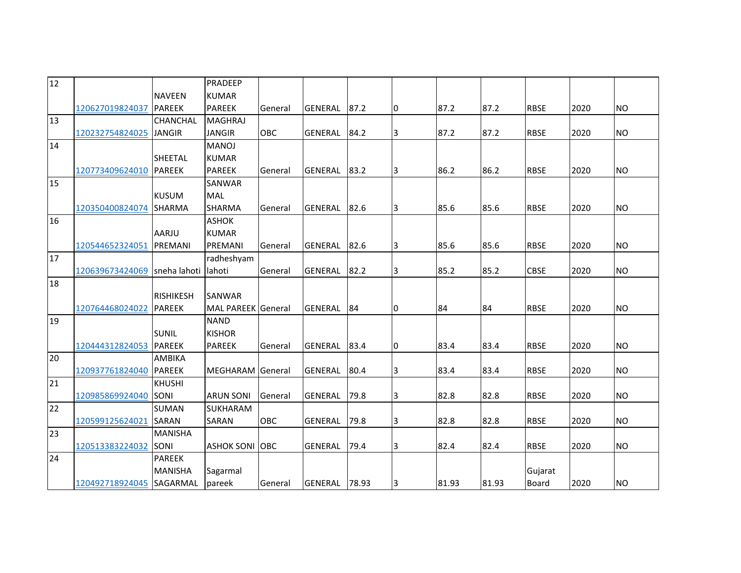| $\overline{12}$ |                              |                  | PRADEEP               |            |                |       |    |       |       |              |      |           |
|-----------------|------------------------------|------------------|-----------------------|------------|----------------|-------|----|-------|-------|--------------|------|-----------|
|                 |                              | <b>NAVEEN</b>    | <b>KUMAR</b>          |            |                |       |    |       |       |              |      |           |
|                 | 120627019824037              | <b>PAREEK</b>    | <b>PAREEK</b>         | General    | <b>GENERAL</b> | 87.2  | Iо | 87.2  | 87.2  | <b>RBSE</b>  | 2020 | <b>NO</b> |
| 13              |                              | CHANCHAL         | <b>MAGHRAJ</b>        |            |                |       |    |       |       |              |      |           |
|                 | 120232754824025              | <b>JANGIR</b>    | <b>JANGIR</b>         | <b>OBC</b> | <b>GENERAL</b> | 84.2  | 3  | 87.2  | 87.2  | <b>RBSE</b>  | 2020 | <b>NO</b> |
| 14              |                              |                  | <b>MANOJ</b>          |            |                |       |    |       |       |              |      |           |
|                 |                              | <b>SHEETAL</b>   | <b>KUMAR</b>          |            |                |       |    |       |       |              |      |           |
|                 | 120773409624010 PAREEK       |                  | <b>PAREEK</b>         | General    | <b>GENERAL</b> | 83.2  | 3  | 86.2  | 86.2  | <b>RBSE</b>  | 2020 | <b>NO</b> |
| 15              |                              |                  | SANWAR                |            |                |       |    |       |       |              |      |           |
|                 |                              | <b>KUSUM</b>     | <b>MAL</b>            |            |                |       |    |       |       |              |      |           |
|                 | 120350400824074              | <b>SHARMA</b>    | <b>SHARMA</b>         | General    | <b>GENERAL</b> | 82.6  | 3  | 85.6  | 85.6  | <b>RBSE</b>  | 2020 | <b>NO</b> |
| 16              |                              |                  | <b>ASHOK</b>          |            |                |       |    |       |       |              |      |           |
|                 |                              | AARJU            | <b>KUMAR</b>          |            |                |       |    |       |       |              |      |           |
|                 | 120544652324051              | PREMANI          | PREMANI               | General    | <b>GENERAL</b> | 82.6  | 3  | 85.6  | 85.6  | <b>RBSE</b>  | 2020 | <b>NO</b> |
| 17              |                              |                  | radheshyam            |            |                |       |    |       |       |              |      |           |
|                 | 120639673424069 sneha lahoti |                  | lahoti                | General    | <b>GENERAL</b> | 82.2  | 3  | 85.2  | 85.2  | <b>CBSE</b>  | 2020 | <b>NO</b> |
| 18              |                              |                  |                       |            |                |       |    |       |       |              |      |           |
|                 |                              | <b>RISHIKESH</b> | <b>SANWAR</b>         |            |                |       |    |       |       |              |      |           |
|                 | 120764468024022              | <b>PAREEK</b>    | MAL PAREEK General    |            | <b>GENERAL</b> | 84    | 10 | 84    | 84    | <b>RBSE</b>  | 2020 | <b>NO</b> |
| 19              |                              |                  | <b>NAND</b>           |            |                |       |    |       |       |              |      |           |
|                 |                              | <b>SUNIL</b>     | <b>KISHOR</b>         |            |                |       |    |       |       |              |      |           |
|                 | 120444312824053              | <b>PAREEK</b>    | <b>PAREEK</b>         | General    | <b>GENERAL</b> | 83.4  | Iо | 83.4  | 83.4  | <b>RBSE</b>  | 2020 | <b>NO</b> |
| 20              |                              | AMBIKA           |                       |            |                |       |    |       |       |              |      |           |
|                 | 120937761824040 PAREEK       |                  | MEGHARAM General      |            | <b>GENERAL</b> | 80.4  | 3  | 83.4  | 83.4  | <b>RBSE</b>  | 2020 | <b>NO</b> |
| 21              |                              | <b>KHUSHI</b>    |                       |            |                |       |    |       |       |              |      |           |
|                 | 120985869924040 SONI         |                  | <b>ARUN SONI</b>      | General    | <b>GENERAL</b> | 79.8  | 3  | 82.8  | 82.8  | <b>RBSE</b>  | 2020 | <b>NO</b> |
| 22              |                              | <b>SUMAN</b>     | SUKHARAM              |            |                |       |    |       |       |              |      |           |
|                 | 120599125624021              | <b>SARAN</b>     | SARAN                 | <b>OBC</b> | <b>GENERAL</b> | 79.8  | 3  | 82.8  | 82.8  | <b>RBSE</b>  | 2020 | <b>NO</b> |
| 23              |                              | <b>MANISHA</b>   |                       |            |                |       |    |       |       |              |      |           |
|                 | 120513383224032 SONI         |                  | <b>ASHOK SONI OBC</b> |            | <b>GENERAL</b> | 79.4  | 3  | 82.4  | 82.4  | <b>RBSE</b>  | 2020 | <b>NO</b> |
| 24              |                              | <b>PAREEK</b>    |                       |            |                |       |    |       |       |              |      |           |
|                 |                              | <b>MANISHA</b>   | Sagarmal              |            |                |       |    |       |       | Gujarat      |      |           |
|                 | 120492718924045 SAGARMAL     |                  | pareek                | General    | <b>GENERAL</b> | 78.93 | 3  | 81.93 | 81.93 | <b>Board</b> | 2020 | <b>NO</b> |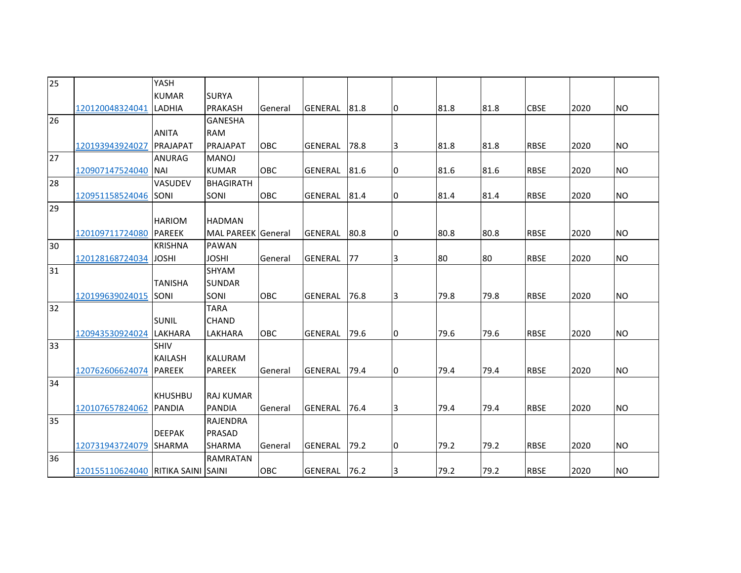| 25 |                                    | YASH            |                    |            |                |       |    |      |      |             |      |           |
|----|------------------------------------|-----------------|--------------------|------------|----------------|-------|----|------|------|-------------|------|-----------|
|    |                                    | <b>KUMAR</b>    | <b>SURYA</b>       |            |                |       |    |      |      |             |      |           |
|    | 120120048324041                    | <b>LADHIA</b>   | <b>PRAKASH</b>     | General    | <b>GENERAL</b> | 81.8  | IО | 81.8 | 81.8 | <b>CBSE</b> | 2020 | <b>NO</b> |
| 26 |                                    |                 | <b>GANESHA</b>     |            |                |       |    |      |      |             |      |           |
|    |                                    | <b>ANITA</b>    | <b>RAM</b>         |            |                |       |    |      |      |             |      |           |
|    | 120193943924027                    | <b>PRAJAPAT</b> | PRAJAPAT           | <b>OBC</b> | <b>GENERAL</b> | 78.8  | 3  | 81.8 | 81.8 | <b>RBSE</b> | 2020 | <b>NO</b> |
| 27 |                                    | <b>ANURAG</b>   | <b>MANOJ</b>       |            |                |       |    |      |      |             |      |           |
|    | 120907147524040 NAI                |                 | <b>KUMAR</b>       | <b>OBC</b> | <b>GENERAL</b> | 81.6  | 10 | 81.6 | 81.6 | <b>RBSE</b> | 2020 | <b>NO</b> |
| 28 |                                    | <b>VASUDEV</b>  | <b>BHAGIRATH</b>   |            |                |       |    |      |      |             |      |           |
|    | 120951158524046 SONI               |                 | <b>SONI</b>        | OBC        | <b>GENERAL</b> | 81.4  | Iо | 81.4 | 81.4 | <b>RBSE</b> | 2020 | <b>NO</b> |
| 29 |                                    |                 |                    |            |                |       |    |      |      |             |      |           |
|    |                                    | <b>HARIOM</b>   | <b>HADMAN</b>      |            |                |       |    |      |      |             |      |           |
|    | 120109711724080                    | <b>PAREEK</b>   | MAL PAREEK General |            | <b>GENERAL</b> | 80.8  | 10 | 80.8 | 80.8 | <b>RBSE</b> | 2020 | <b>NO</b> |
| 30 |                                    | <b>KRISHNA</b>  | <b>PAWAN</b>       |            |                |       |    |      |      |             |      |           |
|    | 120128168724034                    | <b>JOSHI</b>    | <b>JOSHI</b>       | General    | <b>GENERAL</b> | 77    | 3  | 80   | 80   | <b>RBSE</b> | 2020 | <b>NO</b> |
| 31 |                                    |                 | SHYAM              |            |                |       |    |      |      |             |      |           |
|    |                                    | <b>TANISHA</b>  | <b>SUNDAR</b>      |            |                |       |    |      |      |             |      |           |
|    | 120199639024015                    | <b>SONI</b>     | SONI               | OBC        | <b>GENERAL</b> | 76.8  | 3  | 79.8 | 79.8 | <b>RBSE</b> | 2020 | <b>NO</b> |
| 32 |                                    |                 | <b>TARA</b>        |            |                |       |    |      |      |             |      |           |
|    |                                    | <b>SUNIL</b>    | <b>CHAND</b>       |            |                |       |    |      |      |             |      |           |
|    | 120943530924024                    | LAKHARA         | LAKHARA            | <b>OBC</b> | <b>GENERAL</b> | 79.6  | IО | 79.6 | 79.6 | <b>RBSE</b> | 2020 | <b>NO</b> |
| 33 |                                    | <b>SHIV</b>     |                    |            |                |       |    |      |      |             |      |           |
|    |                                    | <b>KAILASH</b>  | <b>KALURAM</b>     |            |                |       |    |      |      |             |      |           |
|    | 120762606624074                    | PAREEK          | <b>PAREEK</b>      | General    | <b>GENERAL</b> | 79.4  | 10 | 79.4 | 79.4 | <b>RBSE</b> | 2020 | <b>NO</b> |
| 34 |                                    |                 |                    |            |                |       |    |      |      |             |      |           |
|    |                                    | <b>KHUSHBU</b>  | <b>RAJ KUMAR</b>   |            |                |       |    |      |      |             |      |           |
|    | 120107657824062                    | PANDIA          | <b>PANDIA</b>      | General    | <b>GENERAL</b> | 76.4  | 3  | 79.4 | 79.4 | <b>RBSE</b> | 2020 | <b>NO</b> |
| 35 |                                    |                 | RAJENDRA           |            |                |       |    |      |      |             |      |           |
|    |                                    | <b>DEEPAK</b>   | <b>PRASAD</b>      |            |                |       |    |      |      |             |      |           |
|    | 120731943724079                    | <b>SHARMA</b>   | SHARMA             | General    | <b>GENERAL</b> | 79.2  | IО | 79.2 | 79.2 | <b>RBSE</b> | 2020 | <b>NO</b> |
| 36 |                                    |                 | <b>RAMRATAN</b>    |            |                |       |    |      |      |             |      |           |
|    | 120155110624040 RITIKA SAINI SAINI |                 |                    | OBC        | <b>GENERAL</b> | 176.2 | 3  | 79.2 | 79.2 | <b>RBSE</b> | 2020 | <b>NO</b> |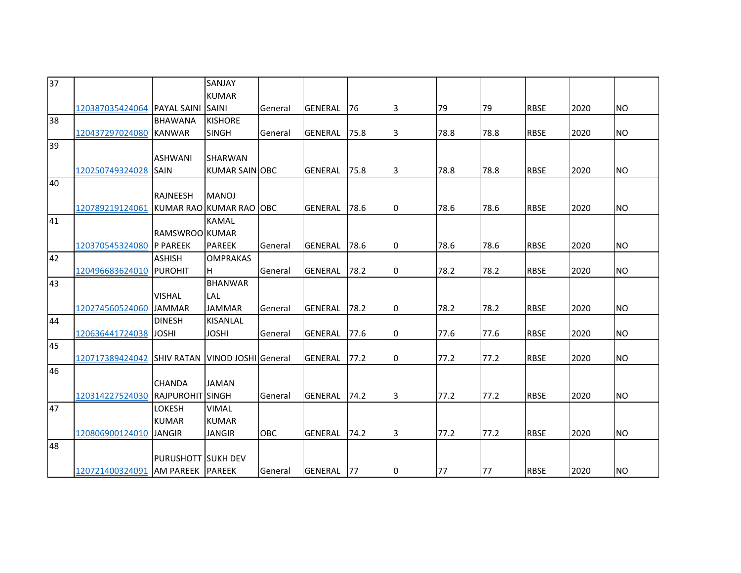| 37 |                                     |                           | SANJAY                         |            |                |      |    |      |      |             |      |           |
|----|-------------------------------------|---------------------------|--------------------------------|------------|----------------|------|----|------|------|-------------|------|-----------|
|    |                                     |                           | <b>KUMAR</b>                   |            |                |      |    |      |      |             |      |           |
|    | 120387035424064   PAYAL SAINI SAINI |                           |                                | General    | <b>GENERAL</b> | 76   | 3  | 79   | 79   | <b>RBSE</b> | 2020 | <b>NO</b> |
| 38 |                                     | <b>BHAWANA</b>            | <b>KISHORE</b>                 |            |                |      |    |      |      |             |      |           |
|    | 120437297024080 KANWAR              |                           | <b>SINGH</b>                   | General    | <b>GENERAL</b> | 75.8 | 3  | 78.8 | 78.8 | <b>RBSE</b> | 2020 | <b>NO</b> |
| 39 |                                     |                           |                                |            |                |      |    |      |      |             |      |           |
|    |                                     | <b>ASHWANI</b>            | <b>SHARWAN</b>                 |            |                |      |    |      |      |             |      |           |
|    | 120250749324028                     | <b>SAIN</b>               | KUMAR SAIN OBC                 |            | <b>GENERAL</b> | 75.8 | 3  | 78.8 | 78.8 | <b>RBSE</b> | 2020 | <b>NO</b> |
| 40 |                                     |                           |                                |            |                |      |    |      |      |             |      |           |
|    |                                     | <b>RAJNEESH</b>           | <b>MANOJ</b>                   |            |                |      |    |      |      |             |      |           |
|    | 120789219124061                     |                           | KUMAR RAO KUMAR RAO OBC        |            | <b>GENERAL</b> | 78.6 | IО | 78.6 | 78.6 | <b>RBSE</b> | 2020 | <b>NO</b> |
| 41 |                                     |                           | <b>KAMAL</b>                   |            |                |      |    |      |      |             |      |           |
|    |                                     | RAMSWROOLKUMAR            |                                |            |                |      |    |      |      |             |      |           |
|    | 120370545324080 P PAREEK            |                           | <b>PAREEK</b>                  | General    | <b>GENERAL</b> | 78.6 | IО | 78.6 | 78.6 | <b>RBSE</b> | 2020 | <b>NO</b> |
| 42 |                                     | <b>ASHISH</b>             | <b>OMPRAKAS</b>                |            |                |      |    |      |      |             |      |           |
|    | 120496683624010 PUROHIT             |                           | IH.                            | General    | <b>GENERAL</b> | 78.2 | 10 | 78.2 | 78.2 | <b>RBSE</b> | 2020 | <b>NO</b> |
| 43 |                                     |                           | <b>BHANWAR</b>                 |            |                |      |    |      |      |             |      |           |
|    |                                     | <b>VISHAL</b>             | LAL                            |            |                |      |    |      |      |             |      |           |
|    | 120274560524060                     | <b>JAMMAR</b>             | <b>JAMMAR</b>                  | General    | <b>GENERAL</b> | 78.2 | Iо | 78.2 | 78.2 | <b>RBSE</b> | 2020 | <b>NO</b> |
| 44 |                                     | <b>DINESH</b>             | <b>KISANLAL</b>                |            |                |      |    |      |      |             |      |           |
|    | 120636441724038                     | <b>JOSHI</b>              | <b>JOSHI</b>                   | General    | <b>GENERAL</b> | 77.6 | 10 | 77.6 | 77.6 | <b>RBSE</b> | 2020 | <b>NO</b> |
| 45 |                                     |                           |                                |            |                |      |    |      |      |             |      |           |
|    | 120717389424042                     |                           | SHIV RATAN VINOD JOSHI General |            | <b>GENERAL</b> | 77.2 | Iо | 77.2 | 77.2 | <b>RBSE</b> | 2020 | <b>NO</b> |
| 46 |                                     |                           |                                |            |                |      |    |      |      |             |      |           |
|    |                                     | <b>CHANDA</b>             | <b>JAMAN</b>                   |            |                |      |    |      |      |             |      |           |
|    | 120314227524030 RAJPUROHIT SINGH    |                           |                                | General    | <b>GENERAL</b> | 74.2 | l3 | 77.2 | 77.2 | <b>RBSE</b> | 2020 | <b>NO</b> |
| 47 |                                     | LOKESH                    | <b>VIMAL</b>                   |            |                |      |    |      |      |             |      |           |
|    |                                     | <b>KUMAR</b>              | <b>KUMAR</b>                   |            |                |      |    |      |      |             |      |           |
|    | 120806900124010                     | <b>JANGIR</b>             | <b>JANGIR</b>                  | <b>OBC</b> | <b>GENERAL</b> | 74.2 | 3  | 77.2 | 77.2 | <b>RBSE</b> | 2020 | <b>NO</b> |
| 48 |                                     |                           |                                |            |                |      |    |      |      |             |      |           |
|    |                                     | <b>PURUSHOTT SUKH DEV</b> |                                |            |                |      |    |      |      |             |      |           |
|    | 120721400324091 AM PAREEK PAREEK    |                           |                                | General    | GENERAL        | 177  | 10 | 77   | 77   | <b>RBSE</b> | 2020 | <b>NO</b> |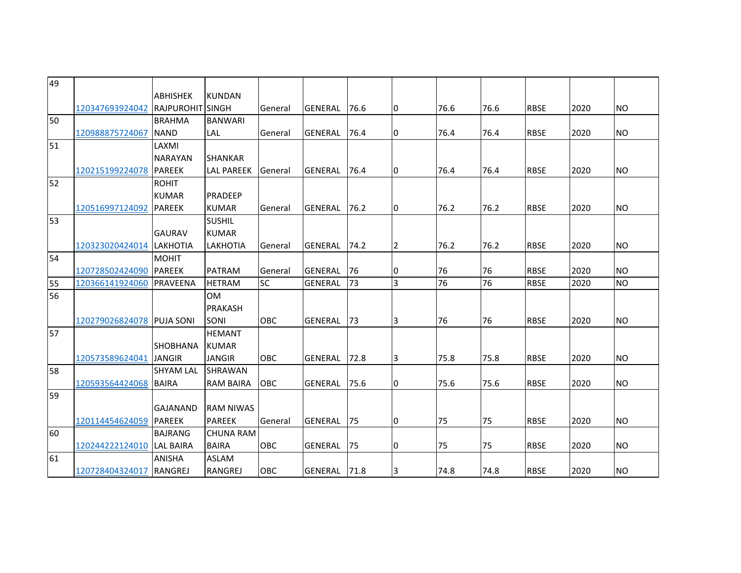| 49 |                           |                         |                   |                |                |      |                |      |      |             |      |           |
|----|---------------------------|-------------------------|-------------------|----------------|----------------|------|----------------|------|------|-------------|------|-----------|
|    |                           | <b>ABHISHEK</b>         | <b>KUNDAN</b>     |                |                |      |                |      |      |             |      |           |
|    | 120347693924042           | <b>RAJPUROHIT SINGH</b> |                   | General        | <b>GENERAL</b> | 76.6 | 10             | 76.6 | 76.6 | <b>RBSE</b> | 2020 | <b>NO</b> |
| 50 |                           | <b>BRAHMA</b>           | <b>BANWARI</b>    |                |                |      |                |      |      |             |      |           |
|    | 120988875724067           | <b>NAND</b>             | <b>LAL</b>        | General        | <b>GENERAL</b> | 76.4 | Iо             | 76.4 | 76.4 | <b>RBSE</b> | 2020 | <b>NO</b> |
| 51 |                           | LAXMI                   |                   |                |                |      |                |      |      |             |      |           |
|    |                           | <b>NARAYAN</b>          | <b>SHANKAR</b>    |                |                |      |                |      |      |             |      |           |
|    | 120215199224078           | <b>PAREEK</b>           | <b>LAL PAREEK</b> | <b>General</b> | <b>GENERAL</b> | 76.4 | Iо             | 76.4 | 76.4 | <b>RBSE</b> | 2020 | <b>NO</b> |
| 52 |                           | <b>ROHIT</b>            |                   |                |                |      |                |      |      |             |      |           |
|    |                           | <b>KUMAR</b>            | PRADEEP           |                |                |      |                |      |      |             |      |           |
|    | 120516997124092           | <b>PAREEK</b>           | <b>KUMAR</b>      | General        | <b>GENERAL</b> | 76.2 | Iо             | 76.2 | 76.2 | <b>RBSE</b> | 2020 | <b>NO</b> |
| 53 |                           |                         | <b>SUSHIL</b>     |                |                |      |                |      |      |             |      |           |
|    |                           | <b>GAURAV</b>           | <b>KUMAR</b>      |                |                |      |                |      |      |             |      |           |
|    | 120323020424014 LAKHOTIA  |                         | <b>LAKHOTIA</b>   | General        | <b>GENERAL</b> | 74.2 | $\overline{2}$ | 76.2 | 76.2 | <b>RBSE</b> | 2020 | <b>NO</b> |
| 54 |                           | <b>MOHIT</b>            |                   |                |                |      |                |      |      |             |      |           |
|    | 120728502424090           | PAREEK                  | <b>PATRAM</b>     | General        | <b>GENERAL</b> | 76   | 10             | 76   | 76   | <b>RBSE</b> | 2020 | <b>NO</b> |
| 55 | 120366141924060           | <b>PRAVEENA</b>         | <b>HETRAM</b>     | <b>SC</b>      | <b>GENERAL</b> | 73   | $\overline{3}$ | 76   | 76   | <b>RBSE</b> | 2020 | <b>NO</b> |
| 56 |                           |                         | <b>OM</b>         |                |                |      |                |      |      |             |      |           |
|    |                           |                         | <b>PRAKASH</b>    |                |                |      |                |      |      |             |      |           |
|    | 120279026824078           | <b>PUJA SONI</b>        | SONI              | <b>OBC</b>     | <b>GENERAL</b> | 73   | 3              | 76   | 76   | <b>RBSE</b> | 2020 | <b>NO</b> |
| 57 |                           |                         | <b>HEMANT</b>     |                |                |      |                |      |      |             |      |           |
|    |                           | <b>SHOBHANA</b>         | <b>KUMAR</b>      |                |                |      |                |      |      |             |      |           |
|    | 120573589624041           | <b>JANGIR</b>           | <b>JANGIR</b>     | OBC            | <b>GENERAL</b> | 72.8 | 3              | 75.8 | 75.8 | <b>RBSE</b> | 2020 | <b>NO</b> |
| 58 |                           | <b>SHYAM LAL</b>        | SHRAWAN           |                |                |      |                |      |      |             |      |           |
|    | 120593564424068 BAIRA     |                         | <b>RAM BAIRA</b>  | OBC            | <b>GENERAL</b> | 75.6 | IО             | 75.6 | 75.6 | <b>RBSE</b> | 2020 | <b>NO</b> |
| 59 |                           |                         |                   |                |                |      |                |      |      |             |      |           |
|    |                           | <b>GAJANAND</b>         | <b>RAM NIWAS</b>  |                |                |      |                |      |      |             |      |           |
|    | 120114454624059           | <b>PAREEK</b>           | <b>PAREEK</b>     | General        | <b>GENERAL</b> | 75   | Iо             | 75   | 75   | <b>RBSE</b> | 2020 | <b>NO</b> |
| 60 |                           | <b>BAJRANG</b>          | <b>CHUNA RAM</b>  |                |                |      |                |      |      |             |      |           |
|    | 120244222124010 LAL BAIRA |                         | <b>BAIRA</b>      | <b>OBC</b>     | <b>GENERAL</b> | 75   | IО             | 75   | 75   | <b>RBSE</b> | 2020 | <b>NO</b> |
| 61 |                           | <b>ANISHA</b>           | <b>ASLAM</b>      |                |                |      |                |      |      |             |      |           |
|    | 120728404324017           | <b>RANGREJ</b>          | RANGREJ           | OBC            | <b>GENERAL</b> | 71.8 | 3              | 74.8 | 74.8 | <b>RBSE</b> | 2020 | <b>NO</b> |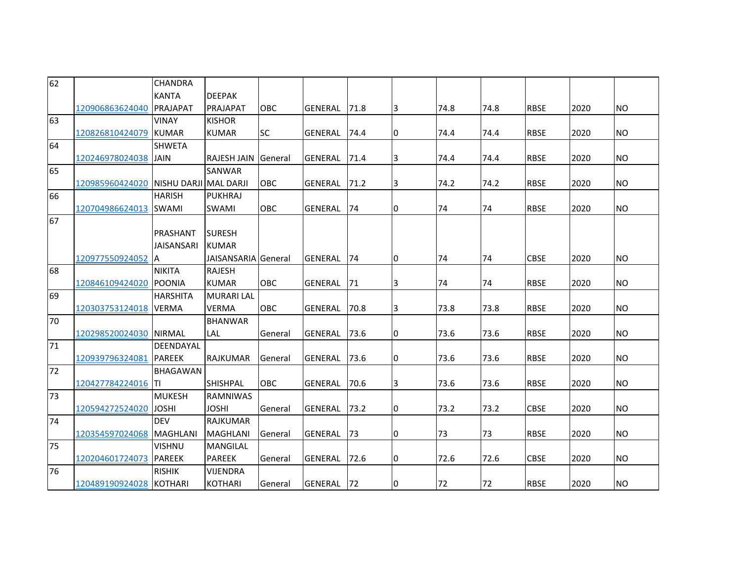| 62 |                 | CHANDRA               |                            |            |                |      |    |      |      |             |      |                |
|----|-----------------|-----------------------|----------------------------|------------|----------------|------|----|------|------|-------------|------|----------------|
|    |                 | <b>KANTA</b>          | <b>DEEPAK</b>              |            |                |      |    |      |      |             |      |                |
|    | 120906863624040 | PRAJAPAT              | PRAJAPAT                   | OBC        | <b>GENERAL</b> | 71.8 | 3  | 74.8 | 74.8 | <b>RBSE</b> | 2020 | <b>NO</b>      |
| 63 |                 | <b>VINAY</b>          | <b>KISHOR</b>              |            |                |      |    |      |      |             |      |                |
|    | 120826810424079 | <b>KUMAR</b>          | <b>KUMAR</b>               | <b>SC</b>  | <b>GENERAL</b> | 74.4 | 10 | 74.4 | 74.4 | <b>RBSE</b> | 2020 | <b>NO</b>      |
| 64 |                 | <b>SHWETA</b>         |                            |            |                |      |    |      |      |             |      |                |
|    | 120246978024038 | <b>JAIN</b>           | <b>RAJESH JAIN</b>         | General    | <b>GENERAL</b> | 71.4 | 3  | 74.4 | 74.4 | <b>RBSE</b> | 2020 | <b>NO</b>      |
| 65 |                 |                       | <b>SANWAR</b>              |            |                |      |    |      |      |             |      |                |
|    | 120985960424020 | NISHU DARJI MAL DARJI |                            | OBC        | <b>GENERAL</b> | 71.2 | 3  | 74.2 | 74.2 | <b>RBSE</b> | 2020 | <b>NO</b>      |
| 66 |                 | <b>HARISH</b>         | <b>PUKHRAJ</b>             |            |                |      |    |      |      |             |      |                |
|    | 120704986624013 | <b>SWAMI</b>          | <b>SWAMI</b>               | OBC        | <b>GENERAL</b> | 74   | 10 | 74   | 74   | <b>RBSE</b> | 2020 | <b>NO</b>      |
| 67 |                 |                       |                            |            |                |      |    |      |      |             |      |                |
|    |                 | PRASHANT              | <b>SURESH</b>              |            |                |      |    |      |      |             |      |                |
|    |                 | <b>JAISANSARI</b>     | <b>KUMAR</b>               |            |                |      |    |      |      |             |      |                |
|    | 120977550924052 | ΙA                    | <b>JAISANSARIA</b> General |            | <b>GENERAL</b> | 74   | I0 | 74   | 74   | <b>CBSE</b> | 2020 | <b>NO</b>      |
| 68 |                 | <b>NIKITA</b>         | <b>RAJESH</b>              |            |                |      |    |      |      |             |      |                |
|    | 120846109424020 | <b>POONIA</b>         | <b>KUMAR</b>               | <b>OBC</b> | <b>GENERAL</b> | 71   | 3  | 74   | 74   | <b>RBSE</b> | 2020 | N <sub>O</sub> |
| 69 |                 | <b>HARSHITA</b>       | <b>MURARI LAL</b>          |            |                |      |    |      |      |             |      |                |
|    | 120303753124018 | <b>VERMA</b>          | <b>VERMA</b>               | <b>OBC</b> | <b>GENERAL</b> | 70.8 | 3  | 73.8 | 73.8 | <b>RBSE</b> | 2020 | <b>NO</b>      |
| 70 |                 |                       | <b>BHANWAR</b>             |            |                |      |    |      |      |             |      |                |
|    | 120298520024030 | <b>NIRMAL</b>         | <b>LAL</b>                 | General    | <b>GENERAL</b> | 73.6 | 10 | 73.6 | 73.6 | <b>RBSE</b> | 2020 | N <sub>O</sub> |
| 71 |                 | DEENDAYAL             |                            |            |                |      |    |      |      |             |      |                |
|    | 120939796324081 | <b>PAREEK</b>         | <b>RAJKUMAR</b>            | General    | <b>GENERAL</b> | 73.6 | 10 | 73.6 | 73.6 | <b>RBSE</b> | 2020 | <b>NO</b>      |
| 72 |                 | <b>BHAGAWAN</b>       |                            |            |                |      |    |      |      |             |      |                |
|    | 120427784224016 | ITI                   | <b>SHISHPAL</b>            | <b>OBC</b> | <b>GENERAL</b> | 70.6 | 3  | 73.6 | 73.6 | <b>RBSE</b> | 2020 | <b>NO</b>      |
| 73 |                 | <b>MUKESH</b>         | <b>RAMNIWAS</b>            |            |                |      |    |      |      |             |      |                |
|    | 120594272524020 | <b>JOSHI</b>          | JOSHI                      | General    | <b>GENERAL</b> | 73.2 | 0  | 73.2 | 73.2 | CBSE        | 2020 | <b>NO</b>      |
| 74 |                 | <b>DEV</b>            | <b>RAJKUMAR</b>            |            |                |      |    |      |      |             |      |                |
|    | 120354597024068 | MAGHLANI              | <b>MAGHLANI</b>            | General    | <b>GENERAL</b> | 73   | 0  | 73   | 73   | <b>RBSE</b> | 2020 | <b>NO</b>      |
| 75 |                 | <b>VISHNU</b>         | MANGILAL                   |            |                |      |    |      |      |             |      |                |
|    | 120204601724073 | <b>PAREEK</b>         | <b>PAREEK</b>              | General    | <b>GENERAL</b> | 72.6 | 10 | 72.6 | 72.6 | <b>CBSE</b> | 2020 | <b>NO</b>      |
| 76 |                 | <b>RISHIK</b>         | <b>VIJENDRA</b>            |            |                |      |    |      |      |             |      |                |
|    | 120489190924028 | <b>KOTHARI</b>        | <b>KOTHARI</b>             | General    | <b>GENERAL</b> | 72   | 10 | 72   | 72   | <b>RBSE</b> | 2020 | <b>NO</b>      |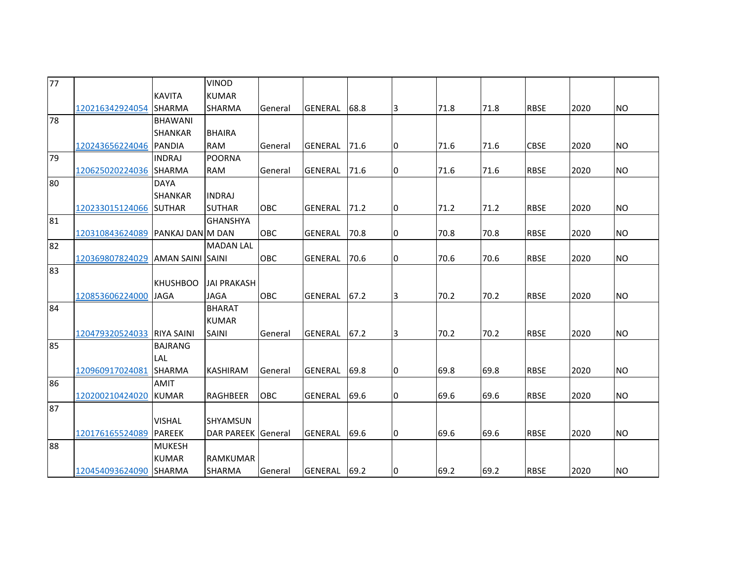| $\overline{77}$ |                                  |                           | <b>VINOD</b>       |            |                |      |    |      |      |             |      |           |
|-----------------|----------------------------------|---------------------------|--------------------|------------|----------------|------|----|------|------|-------------|------|-----------|
|                 |                                  | <b>KAVITA</b>             | <b>KUMAR</b>       |            |                |      |    |      |      |             |      |           |
|                 | 120216342924054                  | <b>SHARMA</b>             | <b>SHARMA</b>      | General    | <b>GENERAL</b> | 68.8 | 3  | 71.8 | 71.8 | <b>RBSE</b> | 2020 | <b>NO</b> |
| 78              |                                  | <b>BHAWANI</b>            |                    |            |                |      |    |      |      |             |      |           |
|                 |                                  | <b>SHANKAR</b>            | <b>BHAIRA</b>      |            |                |      |    |      |      |             |      |           |
|                 | 120243656224046 PANDIA           |                           | <b>RAM</b>         | General    | <b>GENERAL</b> | 71.6 | 10 | 71.6 | 71.6 | <b>CBSE</b> | 2020 | <b>NO</b> |
| 79              |                                  | <b>INDRAJ</b>             | <b>POORNA</b>      |            |                |      |    |      |      |             |      |           |
|                 | 120625020224036 SHARMA           |                           | <b>RAM</b>         | General    | GENERAL        | 71.6 | 10 | 71.6 | 71.6 | <b>RBSE</b> | 2020 | <b>NO</b> |
| 80              |                                  | <b>DAYA</b>               |                    |            |                |      |    |      |      |             |      |           |
|                 |                                  | <b>SHANKAR</b>            | <b>INDRAJ</b>      |            |                |      |    |      |      |             |      |           |
|                 | 120233015124066 SUTHAR           |                           | <b>SUTHAR</b>      | <b>OBC</b> | <b>GENERAL</b> | 71.2 | Iо | 71.2 | 71.2 | <b>RBSE</b> | 2020 | <b>NO</b> |
| 81              |                                  |                           | <b>GHANSHYA</b>    |            |                |      |    |      |      |             |      |           |
|                 | 120310843624089 PANKAJ DAN M DAN |                           |                    | <b>OBC</b> | <b>GENERAL</b> | 70.8 | IО | 70.8 | 70.8 | <b>RBSE</b> | 2020 | <b>NO</b> |
| 82              |                                  |                           | <b>MADAN LAL</b>   |            |                |      |    |      |      |             |      |           |
|                 | 120369807824029                  | <b>JAMAN SAINI ISAINI</b> |                    | OBC        | <b>GENERAL</b> | 70.6 | 10 | 70.6 | 70.6 | <b>RBSE</b> | 2020 | <b>NO</b> |
| 83              |                                  |                           |                    |            |                |      |    |      |      |             |      |           |
|                 |                                  | <b>KHUSHBOO</b>           | <b>JAI PRAKASH</b> |            |                |      |    |      |      |             |      |           |
|                 | 120853606224000                  | <b>JAGA</b>               | <b>JAGA</b>        | OBC        | <b>GENERAL</b> | 67.2 | 3  | 70.2 | 70.2 | <b>RBSE</b> | 2020 | <b>NO</b> |
| 84              |                                  |                           | <b>BHARAT</b>      |            |                |      |    |      |      |             |      |           |
|                 |                                  |                           | <b>KUMAR</b>       |            |                |      |    |      |      |             |      |           |
|                 | 120479320524033 RIYA SAINI       |                           | <b>SAINI</b>       | General    | <b>GENERAL</b> | 67.2 | IЗ | 70.2 | 70.2 | <b>RBSE</b> | 2020 | <b>NO</b> |
| 85              |                                  | <b>BAJRANG</b>            |                    |            |                |      |    |      |      |             |      |           |
|                 |                                  | LAL                       |                    |            |                |      |    |      |      |             |      |           |
|                 | 120960917024081                  | <b>SHARMA</b>             | <b>KASHIRAM</b>    | General    | <b>GENERAL</b> | 69.8 | IО | 69.8 | 69.8 | <b>RBSE</b> | 2020 | <b>NO</b> |
| 86              |                                  | <b>AMIT</b>               |                    |            |                |      |    |      |      |             |      |           |
|                 | 120200210424020                  | <b>KUMAR</b>              | <b>RAGHBEER</b>    | OBC        | <b>GENERAL</b> | 69.6 | Iо | 69.6 | 69.6 | <b>RBSE</b> | 2020 | <b>NO</b> |
| 87              |                                  |                           |                    |            |                |      |    |      |      |             |      |           |
|                 |                                  | <b>VISHAL</b>             | <b>SHYAMSUN</b>    |            |                |      |    |      |      |             |      |           |
|                 | 120176165524089                  | <b>PAREEK</b>             | DAR PAREEK General |            | <b>GENERAL</b> | 69.6 | Iо | 69.6 | 69.6 | <b>RBSE</b> | 2020 | <b>NO</b> |
| 88              |                                  | <b>MUKESH</b>             |                    |            |                |      |    |      |      |             |      |           |
|                 |                                  | <b>KUMAR</b>              | <b>RAMKUMAR</b>    |            |                |      |    |      |      |             |      |           |
|                 | 120454093624090 SHARMA           |                           | <b>SHARMA</b>      | General    | <b>GENERAL</b> | 69.2 | 10 | 69.2 | 69.2 | <b>RBSE</b> | 2020 | <b>NO</b> |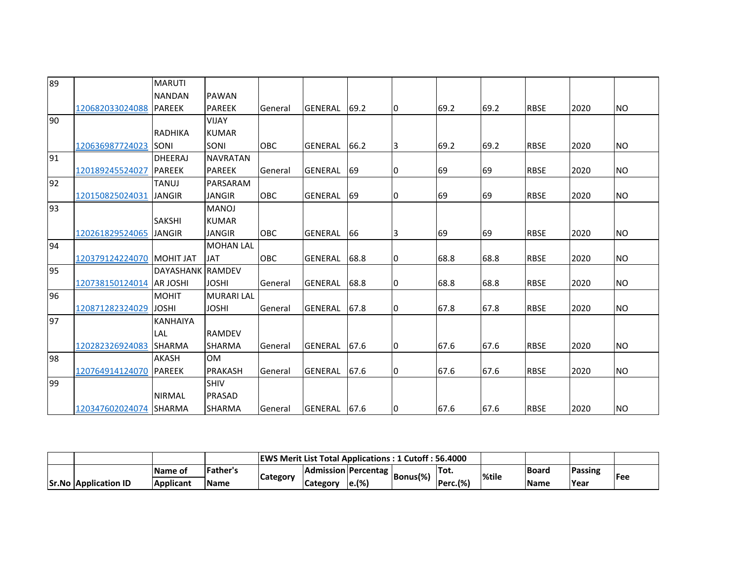| 89  |                          | <b>MARUTI</b>     |                   |                |                |      |    |      |      |             |      |           |
|-----|--------------------------|-------------------|-------------------|----------------|----------------|------|----|------|------|-------------|------|-----------|
|     |                          | <b>NANDAN</b>     | <b>PAWAN</b>      |                |                |      |    |      |      |             |      |           |
|     | 120682033024088          | <b>PAREEK</b>     | <b>PAREEK</b>     | General        | <b>GENERAL</b> | 69.2 | 10 | 69.2 | 69.2 | <b>RBSE</b> | 2020 | <b>NO</b> |
| 90  |                          |                   | <b>VIJAY</b>      |                |                |      |    |      |      |             |      |           |
|     |                          | RADHIKA           | <b>KUMAR</b>      |                |                |      |    |      |      |             |      |           |
|     | 120636987724023          | <b>SONI</b>       | <b>SONI</b>       | OBC            | <b>GENERAL</b> | 66.2 | 3  | 69.2 | 69.2 | <b>RBSE</b> | 2020 | <b>NO</b> |
| 91  |                          | <b>DHEERAJ</b>    | <b>NAVRATAN</b>   |                |                |      |    |      |      |             |      |           |
|     | 120189245524027          | <b>PAREEK</b>     | <b>PAREEK</b>     | General        | <b>GENERAL</b> | 69   | 10 | 69   | 69   | <b>RBSE</b> | 2020 | <b>NO</b> |
| 92  |                          | <b>TANUJ</b>      | PARSARAM          |                |                |      |    |      |      |             |      |           |
|     | 120150825024031          | <b>JANGIR</b>     | <b>JANGIR</b>     | <b>OBC</b>     | <b>GENERAL</b> | 69   | 10 | 69   | 69   | <b>RBSE</b> | 2020 | <b>NO</b> |
| 193 |                          |                   | <b>MANOJ</b>      |                |                |      |    |      |      |             |      |           |
|     |                          | <b>SAKSHI</b>     | <b>KUMAR</b>      |                |                |      |    |      |      |             |      |           |
|     | 120261829524065          | <b>JANGIR</b>     | <b>JANGIR</b>     | <b>OBC</b>     | <b>GENERAL</b> | 66   | 13 | 69   | 69   | <b>RBSE</b> | 2020 | <b>NO</b> |
| 94  |                          |                   | <b>MOHAN LAL</b>  |                |                |      |    |      |      |             |      |           |
|     | 120379124224070          | <b>IMOHIT JAT</b> | <b>JAT</b>        | <b>OBC</b>     | <b>GENERAL</b> | 68.8 | 10 | 68.8 | 68.8 | <b>RBSE</b> | 2020 | <b>NO</b> |
| 95  |                          | DAYASHANK RAMDEV  |                   |                |                |      |    |      |      |             |      |           |
|     | 120738150124014 AR JOSHI |                   | <b>JOSHI</b>      | <b>General</b> | <b>GENERAL</b> | 68.8 | 10 | 68.8 | 68.8 | <b>RBSE</b> | 2020 | <b>NO</b> |
| 96  |                          | <b>MOHIT</b>      | <b>MURARI LAL</b> |                |                |      |    |      |      |             |      |           |
|     | 120871282324029          | <b>JOSHI</b>      | <b>JOSHI</b>      | General        | <b>GENERAL</b> | 67.8 | 10 | 67.8 | 67.8 | <b>RBSE</b> | 2020 | <b>NO</b> |
| 97  |                          | <b>KANHAIYA</b>   |                   |                |                |      |    |      |      |             |      |           |
|     |                          | LAL               | <b>RAMDEV</b>     |                |                |      |    |      |      |             |      |           |
|     | 120282326924083 SHARMA   |                   | <b>SHARMA</b>     | General        | <b>GENERAL</b> | 67.6 | 10 | 67.6 | 67.6 | <b>RBSE</b> | 2020 | <b>NO</b> |
| 198 |                          | <b>AKASH</b>      | <b>OM</b>         |                |                |      |    |      |      |             |      |           |
|     | 120764914124070 PAREEK   |                   | <b>PRAKASH</b>    | General        | <b>GENERAL</b> | 67.6 | 10 | 67.6 | 67.6 | <b>RBSE</b> | 2020 | <b>NO</b> |
| 99  |                          |                   | <b>SHIV</b>       |                |                |      |    |      |      |             |      |           |
|     |                          | <b>NIRMAL</b>     | <b>PRASAD</b>     |                |                |      |    |      |      |             |      |           |
|     | 120347602024074 SHARMA   |                   | <b>SHARMA</b>     | <b>General</b> | <b>GENERAL</b> | 67.6 | 10 | 67.6 | 67.6 | <b>RBSE</b> | 2020 | <b>NO</b> |

|                             |                  |           |          | <b>IEWS Merit List Total Applications: 1 Cutoff: 56.4000</b> |                   |          |             |        |              |             |      |
|-----------------------------|------------------|-----------|----------|--------------------------------------------------------------|-------------------|----------|-------------|--------|--------------|-------------|------|
|                             | <b>IName of</b>  | 'Father's |          | Admission   Percentag                                        |                   | Bonus(%) | 'Tot.       | l%tile | <b>Board</b> | Passing     |      |
| <b>Sr.No Application ID</b> | <b>Applicant</b> | Name      | Category | Category                                                     | $\mathbf{e}$ .(%) |          | $Perc.$ (%) |        | <b>Name</b>  | <b>Year</b> | lFee |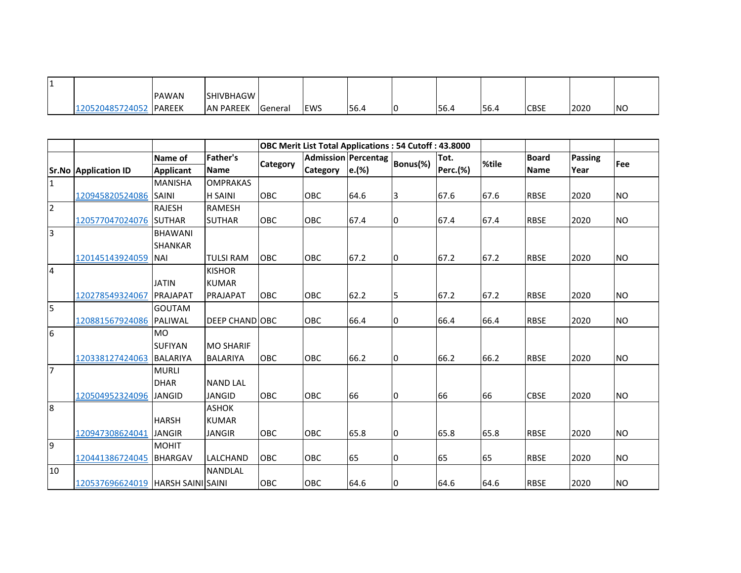|                | <b>IPAWAN</b>  | <b>SHIVBHAGW</b> |                |             |      |    |       |      |             |      |            |
|----------------|----------------|------------------|----------------|-------------|------|----|-------|------|-------------|------|------------|
| 20520485724052 | <b>IPAREEK</b> | <b>AN PAREEK</b> | <b>Seneral</b> | <b>IEWS</b> | 56.4 | טו | 156.4 | 56.4 | <b>CBSE</b> | 2020 | <b>INO</b> |

|                         |                                     |                  |                  | <b>OBC Merit List Total Applications: 54 Cutoff: 43.8000</b> |                 |                            |          |                 |       |              |                |           |  |
|-------------------------|-------------------------------------|------------------|------------------|--------------------------------------------------------------|-----------------|----------------------------|----------|-----------------|-------|--------------|----------------|-----------|--|
|                         |                                     | Name of          | <b>Father's</b>  |                                                              |                 | <b>Admission Percentag</b> |          | Tot.            | %tile | <b>Board</b> | <b>Passing</b> |           |  |
|                         | <b>Sr.No Application ID</b>         | <b>Applicant</b> | <b>Name</b>      | Category                                                     | <b>Category</b> | e.(%)                      | Bonus(%) | <b>Perc.(%)</b> |       | Name         | Year           | Fee       |  |
| $\overline{1}$          |                                     | <b>MANISHA</b>   | <b>OMPRAKAS</b>  |                                                              |                 |                            |          |                 |       |              |                |           |  |
|                         | 120945820524086                     | <b>SAINI</b>     | <b>H SAINI</b>   | OBC                                                          | OBC             | 64.6                       | 3        | 67.6            | 67.6  | <b>RBSE</b>  | 2020           | <b>NO</b> |  |
| $\overline{2}$          |                                     | <b>RAJESH</b>    | <b>RAMESH</b>    |                                                              |                 |                            |          |                 |       |              |                |           |  |
|                         | 120577047024076                     | <b>SUTHAR</b>    | <b>SUTHAR</b>    | OBC                                                          | OBC             | 67.4                       | 10       | 67.4            | 67.4  | <b>RBSE</b>  | 2020           | <b>NO</b> |  |
| $\overline{\mathbf{3}}$ |                                     | <b>BHAWANI</b>   |                  |                                                              |                 |                            |          |                 |       |              |                |           |  |
|                         |                                     | <b>SHANKAR</b>   |                  |                                                              |                 |                            |          |                 |       |              |                |           |  |
|                         | 120145143924059                     | <b>NAI</b>       | <b>TULSI RAM</b> | OBC                                                          | OBC             | 67.2                       | 10       | 67.2            | 67.2  | <b>RBSE</b>  | 2020           | <b>NO</b> |  |
| $\overline{\mathbf{r}}$ |                                     |                  | <b>KISHOR</b>    |                                                              |                 |                            |          |                 |       |              |                |           |  |
|                         |                                     | <b>JATIN</b>     | <b>KUMAR</b>     |                                                              |                 |                            |          |                 |       |              |                |           |  |
|                         | 120278549324067                     | PRAJAPAT         | <b>PRAJAPAT</b>  | <b>OBC</b>                                                   | OBC             | 62.2                       | 5        | 67.2            | 67.2  | <b>RBSE</b>  | 2020           | <b>NO</b> |  |
| $\overline{5}$          |                                     | <b>GOUTAM</b>    |                  |                                                              |                 |                            |          |                 |       |              |                |           |  |
|                         | 120881567924086                     | PALIWAL          | DEEP CHAND OBC   |                                                              | <b>OBC</b>      | 66.4                       | 10       | 66.4            | 66.4  | <b>RBSE</b>  | 2020           | <b>NO</b> |  |
| 6                       |                                     | <b>MO</b>        |                  |                                                              |                 |                            |          |                 |       |              |                |           |  |
|                         |                                     | <b>SUFIYAN</b>   | <b>MO SHARIF</b> |                                                              |                 |                            |          |                 |       |              |                |           |  |
|                         | 120338127424063                     | <b>BALARIYA</b>  | <b>BALARIYA</b>  | <b>OBC</b>                                                   | OBC             | 66.2                       | 10       | 66.2            | 66.2  | <b>RBSE</b>  | 2020           | <b>NO</b> |  |
| $\overline{7}$          |                                     | <b>MURLI</b>     |                  |                                                              |                 |                            |          |                 |       |              |                |           |  |
|                         |                                     | <b>DHAR</b>      | <b>NAND LAL</b>  |                                                              |                 |                            |          |                 |       |              |                |           |  |
|                         | 120504952324096                     | <b>JANGID</b>    | <b>JANGID</b>    | OBC                                                          | OBC             | 66                         | 10       | 66              | 66    | <b>CBSE</b>  | 2020           | <b>NO</b> |  |
| 8                       |                                     |                  | <b>ASHOK</b>     |                                                              |                 |                            |          |                 |       |              |                |           |  |
|                         |                                     | <b>HARSH</b>     | <b>KUMAR</b>     |                                                              |                 |                            |          |                 |       |              |                |           |  |
|                         | 120947308624041                     | <b>JANGIR</b>    | <b>JANGIR</b>    | OBC                                                          | OBC             | 65.8                       | 10       | 65.8            | 65.8  | <b>RBSE</b>  | 2020           | <b>NO</b> |  |
| 9                       |                                     | <b>MOHIT</b>     |                  |                                                              |                 |                            |          |                 |       |              |                |           |  |
|                         | 120441386724045                     | BHARGAV          | LALCHAND         | <b>OBC</b>                                                   | OBC             | 65                         | 10       | 65              | 65    | <b>RBSE</b>  | 2020           | <b>NO</b> |  |
| 10                      |                                     |                  | <b>NANDLAL</b>   |                                                              |                 |                            |          |                 |       |              |                |           |  |
|                         | 120537696624019   HARSH SAINI SAINI |                  |                  | OBC                                                          | OBC             | 64.6                       | 10       | 64.6            | 64.6  | <b>RBSE</b>  | 2020           | <b>NO</b> |  |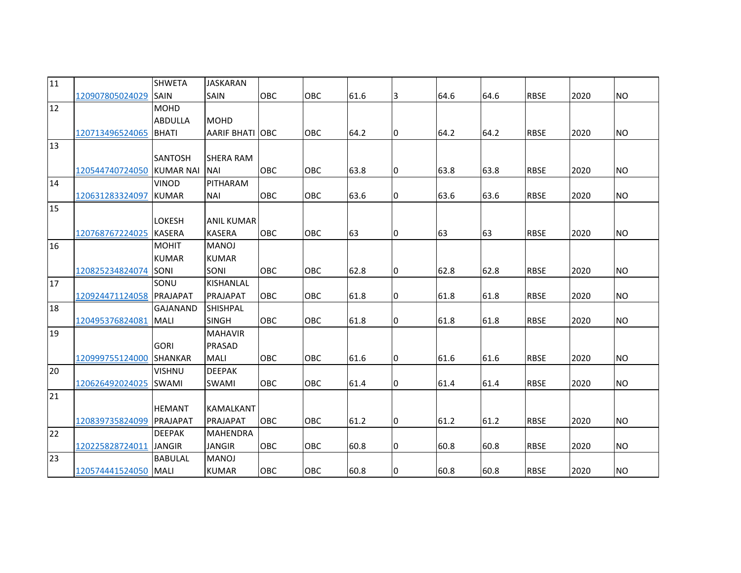| 11 |                       | <b>SHWETA</b>    | <b>JASKARAN</b>         |            |     |      |    |      |      |             |      |           |
|----|-----------------------|------------------|-------------------------|------------|-----|------|----|------|------|-------------|------|-----------|
|    | 120907805024029       | <b>SAIN</b>      | <b>SAIN</b>             | OBC        | OBC | 61.6 | 3  | 64.6 | 64.6 | <b>RBSE</b> | 2020 | <b>NO</b> |
| 12 |                       | <b>MOHD</b>      |                         |            |     |      |    |      |      |             |      |           |
|    |                       | <b>ABDULLA</b>   | <b>MOHD</b>             |            |     |      |    |      |      |             |      |           |
|    | 120713496524065       | <b>BHATI</b>     | <b>AARIF BHATI LOBC</b> |            | OBC | 64.2 | IО | 64.2 | 64.2 | <b>RBSE</b> | 2020 | <b>NO</b> |
| 13 |                       |                  |                         |            |     |      |    |      |      |             |      |           |
|    |                       | <b>SANTOSH</b>   | <b>SHERA RAM</b>        |            |     |      |    |      |      |             |      |           |
|    | 120544740724050       | <b>KUMAR NAI</b> | <b>NAI</b>              | OBC        | OBC | 63.8 | 10 | 63.8 | 63.8 | <b>RBSE</b> | 2020 | <b>NO</b> |
| 14 |                       | <b>VINOD</b>     | PITHARAM                |            |     |      |    |      |      |             |      |           |
|    | 120631283324097       | <b>KUMAR</b>     | <b>NAI</b>              | OBC        | OBC | 63.6 | 10 | 63.6 | 63.6 | <b>RBSE</b> | 2020 | <b>NO</b> |
| 15 |                       |                  |                         |            |     |      |    |      |      |             |      |           |
|    |                       | <b>LOKESH</b>    | <b>ANIL KUMAR</b>       |            |     |      |    |      |      |             |      |           |
|    | 120768767224025       | <b>KASERA</b>    | <b>KASERA</b>           | OBC        | OBC | 63   | IО | 63   | 63   | <b>RBSE</b> | 2020 | <b>NO</b> |
| 16 |                       | <b>MOHIT</b>     | <b>MANOJ</b>            |            |     |      |    |      |      |             |      |           |
|    |                       | <b>KUMAR</b>     | <b>KUMAR</b>            |            |     |      |    |      |      |             |      |           |
|    | 120825234824074       | SONI             | <b>SONI</b>             | <b>OBC</b> | OBC | 62.8 | IО | 62.8 | 62.8 | <b>RBSE</b> | 2020 | <b>NO</b> |
| 17 |                       | SONU             | <b>KISHANLAL</b>        |            |     |      |    |      |      |             |      |           |
|    | 120924471124058       | PRAJAPAT         | PRAJAPAT                | OBC        | OBC | 61.8 | 10 | 61.8 | 61.8 | <b>RBSE</b> | 2020 | <b>NO</b> |
| 18 |                       | <b>GAJANAND</b>  | <b>SHISHPAL</b>         |            |     |      |    |      |      |             |      |           |
|    | 120495376824081       | <b>MALI</b>      | <b>SINGH</b>            | <b>OBC</b> | OBC | 61.8 | IО | 61.8 | 61.8 | <b>RBSE</b> | 2020 | <b>NO</b> |
| 19 |                       |                  | <b>MAHAVIR</b>          |            |     |      |    |      |      |             |      |           |
|    |                       | <b>GORI</b>      | PRASAD                  |            |     |      |    |      |      |             |      |           |
|    | 120999755124000       | <b>SHANKAR</b>   | <b>MALI</b>             | <b>OBC</b> | OBC | 61.6 | Iо | 61.6 | 61.6 | <b>RBSE</b> | 2020 | <b>NO</b> |
| 20 |                       | <b>VISHNU</b>    | <b>DEEPAK</b>           |            |     |      |    |      |      |             |      |           |
|    | 120626492024025 SWAMI |                  | <b>SWAMI</b>            | <b>OBC</b> | OBC | 61.4 | 10 | 61.4 | 61.4 | <b>RBSE</b> | 2020 | <b>NO</b> |
| 21 |                       |                  |                         |            |     |      |    |      |      |             |      |           |
|    |                       | <b>HEMANT</b>    | <b>KAMALKANT</b>        |            |     |      |    |      |      |             |      |           |
|    | 120839735824099       | <b>PRAJAPAT</b>  | <b>PRAJAPAT</b>         | <b>OBC</b> | OBC | 61.2 | Iо | 61.2 | 61.2 | <b>RBSE</b> | 2020 | <b>NO</b> |
| 22 |                       | <b>DEEPAK</b>    | <b>MAHENDRA</b>         |            |     |      |    |      |      |             |      |           |
|    | 120225828724011       | <b>JANGIR</b>    | <b>JANGIR</b>           | OBC        | OBC | 60.8 | 10 | 60.8 | 60.8 | <b>RBSE</b> | 2020 | <b>NO</b> |
| 23 |                       | <b>BABULAL</b>   | <b>MANOJ</b>            |            |     |      |    |      |      |             |      |           |
|    | 120574441524050 MALI  |                  | <b>KUMAR</b>            | OBC        | OBC | 60.8 | 10 | 60.8 | 60.8 | <b>RBSE</b> | 2020 | <b>NO</b> |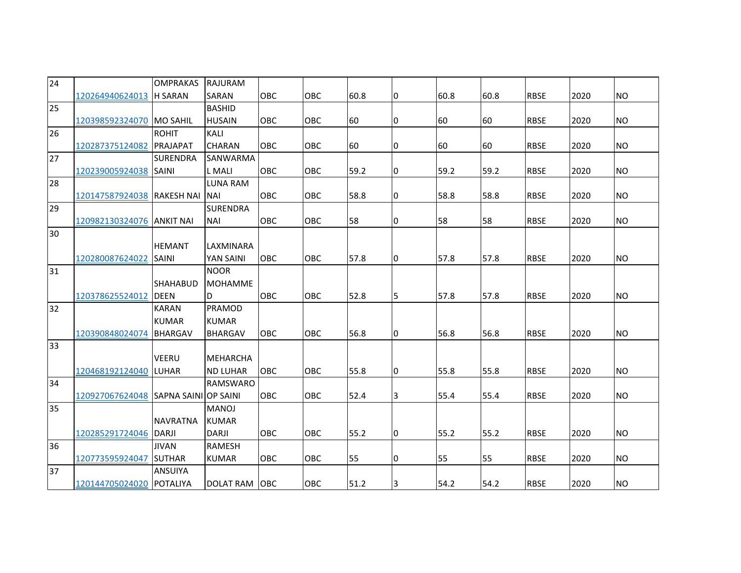| 24 |                                      | <b>OMPRAKAS</b> | RAJURAM         |            |     |      |    |      |      |             |      |           |
|----|--------------------------------------|-----------------|-----------------|------------|-----|------|----|------|------|-------------|------|-----------|
|    | 120264940624013 H SARAN              |                 | SARAN           | OBC        | OBC | 60.8 | 10 | 60.8 | 60.8 | <b>RBSE</b> | 2020 | <b>NO</b> |
| 25 |                                      |                 | <b>BASHID</b>   |            |     |      |    |      |      |             |      |           |
|    | 120398592324070                      | <b>MO SAHIL</b> | <b>HUSAIN</b>   | OBC        | OBC | 60   | 10 | 60   | 60   | <b>RBSE</b> | 2020 | <b>NO</b> |
| 26 |                                      | <b>ROHIT</b>    | KALI            |            |     |      |    |      |      |             |      |           |
|    | 120287375124082                      | PRAJAPAT        | <b>CHARAN</b>   | <b>OBC</b> | OBC | 60   | 10 | 60   | 60   | <b>RBSE</b> | 2020 | <b>NO</b> |
| 27 |                                      | <b>SURENDRA</b> | SANWARMA        |            |     |      |    |      |      |             |      |           |
|    | 120239005924038 SAINI                |                 | <b>L</b> MALI   | OBC        | OBC | 59.2 | 10 | 59.2 | 59.2 | <b>RBSE</b> | 2020 | <b>NO</b> |
| 28 |                                      |                 | <b>LUNA RAM</b> |            |     |      |    |      |      |             |      |           |
|    | 120147587924038 RAKESH NAI           |                 | <b>NAI</b>      | OBC        | OBC | 58.8 | 10 | 58.8 | 58.8 | <b>RBSE</b> | 2020 | <b>NO</b> |
| 29 |                                      |                 | <b>SURENDRA</b> |            |     |      |    |      |      |             |      |           |
|    | 120982130324076 ANKIT NAI            |                 | <b>NAI</b>      | OBC        | OBC | 58   | 10 | 58   | 58   | <b>RBSE</b> | 2020 | <b>NO</b> |
| 30 |                                      |                 |                 |            |     |      |    |      |      |             |      |           |
|    |                                      | <b>HEMANT</b>   | LAXMINARA       |            |     |      |    |      |      |             |      |           |
|    | 120280087624022                      | <b>SAINI</b>    | YAN SAINI       | <b>OBC</b> | OBC | 57.8 | 10 | 57.8 | 57.8 | <b>RBSE</b> | 2020 | <b>NO</b> |
| 31 |                                      |                 | <b>NOOR</b>     |            |     |      |    |      |      |             |      |           |
|    |                                      | <b>SHAHABUD</b> | <b>MOHAMME</b>  |            |     |      |    |      |      |             |      |           |
|    | 120378625524012                      | <b>DEEN</b>     | D               | OBC        | OBC | 52.8 | 5  | 57.8 | 57.8 | <b>RBSE</b> | 2020 | <b>NO</b> |
| 32 |                                      | <b>KARAN</b>    | PRAMOD          |            |     |      |    |      |      |             |      |           |
|    |                                      | <b>KUMAR</b>    | <b>KUMAR</b>    |            |     |      |    |      |      |             |      |           |
|    | 120390848024074                      | <b>BHARGAV</b>  | <b>BHARGAV</b>  | OBC        | OBC | 56.8 | Iо | 56.8 | 56.8 | <b>RBSE</b> | 2020 | <b>NO</b> |
| 33 |                                      |                 |                 |            |     |      |    |      |      |             |      |           |
|    |                                      | <b>VEERU</b>    | <b>MEHARCHA</b> |            |     |      |    |      |      |             |      |           |
|    | 120468192124040 LUHAR                |                 | <b>ND LUHAR</b> | OBC        | OBC | 55.8 | 10 | 55.8 | 55.8 | <b>RBSE</b> | 2020 | <b>NO</b> |
| 34 |                                      |                 | <b>RAMSWARO</b> |            |     |      |    |      |      |             |      |           |
|    | 120927067624048 SAPNA SAINI OP SAINI |                 |                 | <b>OBC</b> | OBC | 52.4 | 3  | 55.4 | 55.4 | <b>RBSE</b> | 2020 | <b>NO</b> |
| 35 |                                      |                 | <b>MANOJ</b>    |            |     |      |    |      |      |             |      |           |
|    |                                      | <b>NAVRATNA</b> | <b>KUMAR</b>    |            |     |      |    |      |      |             |      |           |
|    | 120285291724046 DARJI                |                 | <b>DARJI</b>    | OBC        | OBC | 55.2 | Iо | 55.2 | 55.2 | <b>RBSE</b> | 2020 | <b>NO</b> |
| 36 |                                      | <b>JIVAN</b>    | <b>RAMESH</b>   |            |     |      |    |      |      |             |      |           |
|    | 120773595924047 SUTHAR               |                 | <b>KUMAR</b>    | OBC        | OBC | 55   | 10 | 55   | 55   | <b>RBSE</b> | 2020 | <b>NO</b> |
| 37 |                                      | <b>ANSUIYA</b>  |                 |            |     |      |    |      |      |             |      |           |
|    | 120144705024020 POTALIYA             |                 | DOLAT RAM OBC   |            | OBC | 51.2 | 3  | 54.2 | 54.2 | <b>RBSE</b> | 2020 | <b>NO</b> |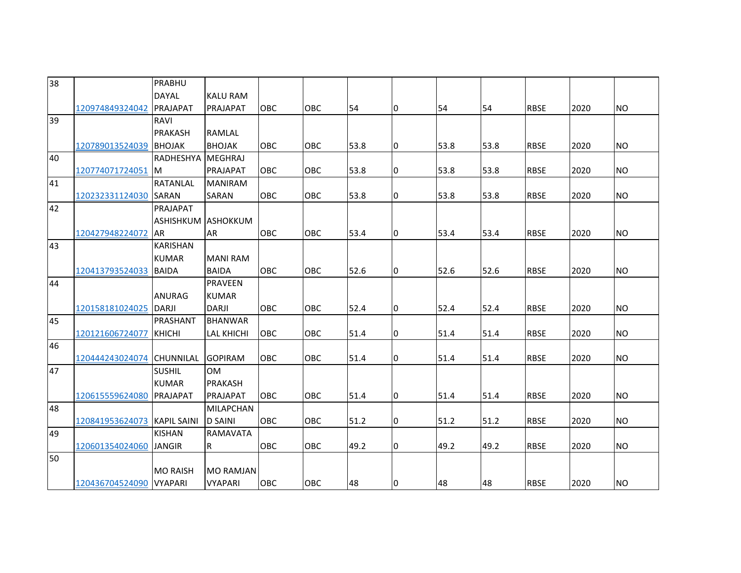| 38 |                         | PRABHU             |                   |            |            |      |    |      |      |             |      |           |
|----|-------------------------|--------------------|-------------------|------------|------------|------|----|------|------|-------------|------|-----------|
|    |                         | <b>DAYAL</b>       | <b>KALU RAM</b>   |            |            |      |    |      |      |             |      |           |
|    | 120974849324042         | PRAJAPAT           | PRAJAPAT          | OBC        | OBC        | 54   | Iо | 54   | 54   | <b>RBSE</b> | 2020 | <b>NO</b> |
| 39 |                         | <b>RAVI</b>        |                   |            |            |      |    |      |      |             |      |           |
|    |                         | <b>PRAKASH</b>     | <b>RAMLAL</b>     |            |            |      |    |      |      |             |      |           |
|    | 120789013524039         | <b>BHOJAK</b>      | <b>BHOJAK</b>     | <b>OBC</b> | OBC        | 53.8 | Iо | 53.8 | 53.8 | <b>RBSE</b> | 2020 | <b>NO</b> |
| 40 |                         | <b>RADHESHYA</b>   | MEGHRAJ           |            |            |      |    |      |      |             |      |           |
|    | 120774071724051         | <b>IM</b>          | PRAJAPAT          | OBC        | OBC        | 53.8 | 10 | 53.8 | 53.8 | <b>RBSE</b> | 2020 | <b>NO</b> |
| 41 |                         | <b>RATANLAL</b>    | <b>MANIRAM</b>    |            |            |      |    |      |      |             |      |           |
|    | 120232331124030 SARAN   |                    | SARAN             | OBC        | OBC        | 53.8 | Iо | 53.8 | 53.8 | <b>RBSE</b> | 2020 | <b>NO</b> |
| 42 |                         | PRAJAPAT           |                   |            |            |      |    |      |      |             |      |           |
|    |                         | <b>ASHISHKUM</b>   | <b>ASHOKKUM</b>   |            |            |      |    |      |      |             |      |           |
|    | 120427948224072         | <b>AR</b>          | AR                | <b>OBC</b> | <b>OBC</b> | 53.4 | Iо | 53.4 | 53.4 | <b>RBSE</b> | 2020 | <b>NO</b> |
| 43 |                         | <b>KARISHAN</b>    |                   |            |            |      |    |      |      |             |      |           |
|    |                         | <b>KUMAR</b>       | <b>MANI RAM</b>   |            |            |      |    |      |      |             |      |           |
|    | 120413793524033         | BAIDA              | <b>BAIDA</b>      | <b>OBC</b> | OBC        | 52.6 | IО | 52.6 | 52.6 | <b>RBSE</b> | 2020 | <b>NO</b> |
| 44 |                         |                    | <b>PRAVEEN</b>    |            |            |      |    |      |      |             |      |           |
|    |                         | <b>ANURAG</b>      | <b>KUMAR</b>      |            |            |      |    |      |      |             |      |           |
|    | 120158181024025 DARJI   |                    | <b>DARJI</b>      | OBC        | OBC        | 52.4 | 10 | 52.4 | 52.4 | <b>RBSE</b> | 2020 | <b>NO</b> |
| 45 |                         | PRASHANT           | <b>BHANWAR</b>    |            |            |      |    |      |      |             |      |           |
|    | 120121606724077         | <b>KHICHI</b>      | <b>LAL KHICHI</b> | OBC        | OBC        | 51.4 | l0 | 51.4 | 51.4 | <b>RBSE</b> | 2020 | <b>NO</b> |
| 46 |                         |                    |                   |            |            |      |    |      |      |             |      |           |
|    | 120444243024074         | <b>CHUNNILAL</b>   | <b>GOPIRAM</b>    | OBC        | OBC        | 51.4 | 10 | 51.4 | 51.4 | <b>RBSE</b> | 2020 | <b>NO</b> |
| 47 |                         | <b>SUSHIL</b>      | 0M                |            |            |      |    |      |      |             |      |           |
|    |                         | <b>KUMAR</b>       | <b>PRAKASH</b>    |            |            |      |    |      |      |             |      |           |
|    | 120615559624080         | <b>PRAJAPAT</b>    | <b>PRAJAPAT</b>   | <b>OBC</b> | OBC        | 51.4 | Iо | 51.4 | 51.4 | <b>RBSE</b> | 2020 | <b>NO</b> |
| 48 |                         |                    | <b>MILAPCHAN</b>  |            |            |      |    |      |      |             |      |           |
|    | 120841953624073         | <b>KAPIL SAINI</b> | <b>D SAINI</b>    | <b>OBC</b> | <b>OBC</b> | 51.2 | l0 | 51.2 | 51.2 | <b>RBSE</b> | 2020 | <b>NO</b> |
| 49 |                         | <b>KISHAN</b>      | <b>RAMAVATA</b>   |            |            |      |    |      |      |             |      |           |
|    | 120601354024060         | <b>JANGIR</b>      | R                 | <b>OBC</b> | OBC        | 49.2 | IО | 49.2 | 49.2 | <b>RBSE</b> | 2020 | <b>NO</b> |
| 50 |                         |                    |                   |            |            |      |    |      |      |             |      |           |
|    |                         | <b>MO RAISH</b>    | <b>MO RAMJAN</b>  |            |            |      |    |      |      |             |      |           |
|    | 120436704524090 VYAPARI |                    | <b>VYAPARI</b>    | OBC        | OBC        | 48   | IО | 48   | 48   | <b>RBSE</b> | 2020 | <b>NO</b> |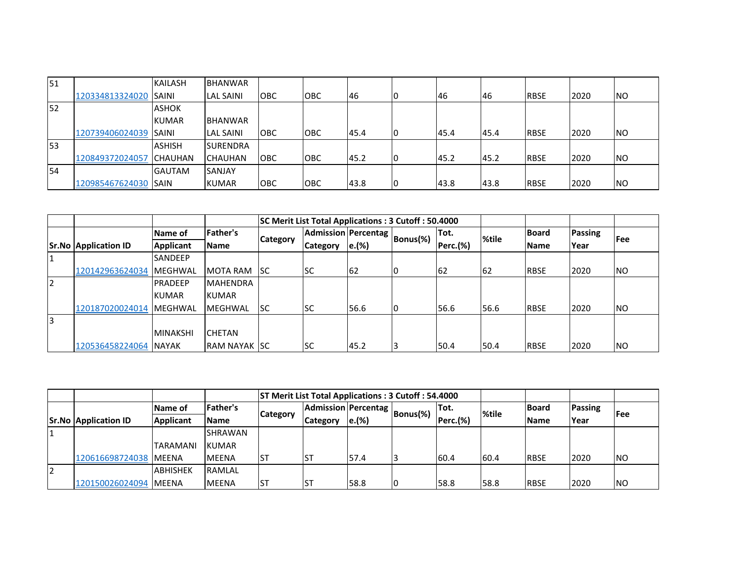| <b>151</b> |                 | <b>KAILASH</b> | <b>BHANWAR</b>   |            |             |      |    |      |           |             |      |            |
|------------|-----------------|----------------|------------------|------------|-------------|------|----|------|-----------|-------------|------|------------|
|            | 120334813324020 | <b>SAINI</b>   | <b>LAL SAINI</b> | <b>OBC</b> | <b>OBC</b>  | 46   |    | 46   | <b>46</b> | <b>RBSE</b> | 2020 | <b>NO</b>  |
| 52         |                 | <b>ASHOK</b>   |                  |            |             |      |    |      |           |             |      |            |
|            |                 | <b>KUMAR</b>   | <b>BHANWAR</b>   |            |             |      |    |      |           |             |      |            |
|            | 120739406024039 | <b>SAINI</b>   | <b>LAL SAINI</b> | <b>OBC</b> | <b>IOBC</b> | 45.4 | IO | 45.4 | 45.4      | <b>RBSE</b> | 2020 | <b>NO</b>  |
| 53         |                 | <b>ASHISH</b>  | <b>SURENDRA</b>  |            |             |      |    |      |           |             |      |            |
|            | 120849372024057 | <b>CHAUHAN</b> | <b>CHAUHAN</b>   | <b>OBC</b> | <b>IOBC</b> | 45.2 | I٥ | 45.2 | 45.2      | <b>RBSE</b> | 2020 | <b>INO</b> |
| 54         |                 | <b>GAUTAM</b>  | <b>SANJAY</b>    |            |             |      |    |      |           |             |      |            |
|            | 120985467624030 | <b>ISAIN</b>   | <b>KUMAR</b>     | <b>OBC</b> | <b>OBC</b>  | 43.8 |    | 43.8 | 43.8      | <b>RBSE</b> | 2020 | <b>INO</b> |

|                |                             |                  |                       | SC Merit List Total Applications: 3 Cutoff: 50.4000 |                     |       |          |                 |       |              |                |            |
|----------------|-----------------------------|------------------|-----------------------|-----------------------------------------------------|---------------------|-------|----------|-----------------|-------|--------------|----------------|------------|
|                |                             | Name of          | Father's              |                                                     | Admission Percentag |       | Bonus(%) | Tot.            | %tile | <b>Board</b> | <b>Passing</b> | <b>Fee</b> |
|                | <b>Sr.No Application ID</b> | <b>Applicant</b> | <b>Name</b>           | <b>Category</b>                                     | Category            | e.(%) |          | <b>Perc.(%)</b> |       | <b>IName</b> | Year           |            |
| 11             |                             | <b>SANDEEP</b>   |                       |                                                     |                     |       |          |                 |       |              |                |            |
|                | 120142963624034             | MEGHWAL          | <b>MOTA RAM</b>       | <b>ISC</b>                                          | lsc                 | 62    |          | 62              | 162   | <b>RBSE</b>  | 2020           | NO.        |
| $\overline{2}$ |                             | <b>PRADEEP</b>   | <b>MAHENDRA</b>       |                                                     |                     |       |          |                 |       |              |                |            |
|                |                             | <b>KUMAR</b>     | <b>KUMAR</b>          |                                                     |                     |       |          |                 |       |              |                |            |
|                | 120187020024014             | <b>IMEGHWAL</b>  | MEGHWAL               | lsc                                                 | lsc                 | 56.6  |          | 56.6            | 56.6  | <b>RBSE</b>  | 2020           | NO.        |
| 3              |                             |                  |                       |                                                     |                     |       |          |                 |       |              |                |            |
|                |                             | <b>MINAKSHI</b>  | <b>CHETAN</b>         |                                                     |                     |       |          |                 |       |              |                |            |
|                | 120536458224064 NAYAK       |                  | <b>IRAM NAYAK ISC</b> |                                                     | lsc                 | 45.2  | 3        | 50.4            | 50.4  | <b>RBSE</b>  | 2020           | <b>INO</b> |

|          |                             |                  |                | <b>ST Merit List Total Applications: 3 Cutoff: 54.4000</b> |                                   |       |    |          |       |               |                |           |
|----------|-----------------------------|------------------|----------------|------------------------------------------------------------|-----------------------------------|-------|----|----------|-------|---------------|----------------|-----------|
|          |                             | Name of          | Father's       |                                                            | Admission Percentag Bonus(%)   '" |       |    | lTot.    | %tile | <b>IBoard</b> | <b>Passing</b> | l Fee     |
|          | <b>Sr.No Application ID</b> | <b>Applicant</b> | <b>Name</b>    | <b>Category</b>                                            | Category                          | e.(%) |    | Perc.(%) |       | <b>Name</b>   | Year           |           |
|          |                             |                  | <b>SHRAWAN</b> |                                                            |                                   |       |    |          |       |               |                |           |
|          |                             | <b>TARAMANI</b>  | <b>KUMAR</b>   |                                                            |                                   |       |    |          |       |               |                |           |
|          | 120616698724038 MEENA       |                  | <b>MEENA</b>   | IST                                                        |                                   | 57.4  |    | 60.4     | 160.4 | <b>IRBSE</b>  | 2020           | <b>NO</b> |
| <b>2</b> |                             | <b>ABHISHEK</b>  | <b>RAMLAL</b>  |                                                            |                                   |       |    |          |       |               |                |           |
|          | 120150026024094             | <b>IMEENA</b>    | <b>MEENA</b>   | IST                                                        |                                   | 58.8  | 10 | 58.8     | 58.8  | <b>RBSE</b>   | 2020           | <b>NO</b> |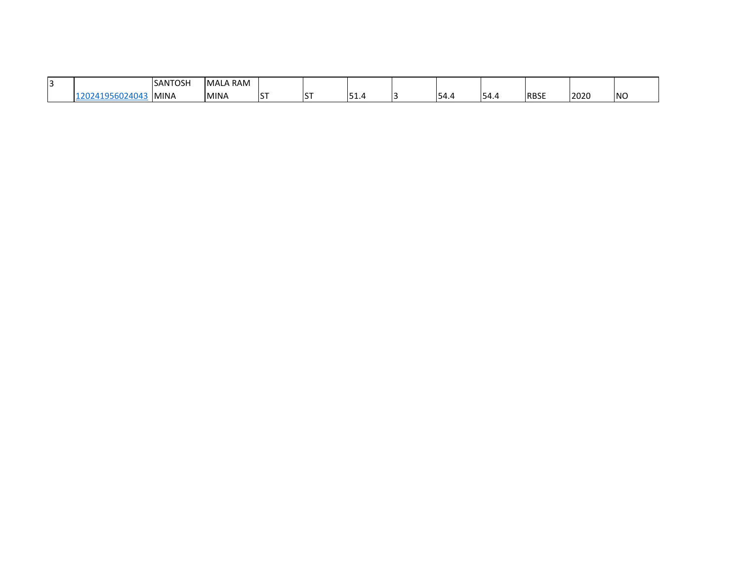| . .<br>.<br>. |                    | <b>SANTOSH</b> | RAM)<br><b>IMAL</b> |     |                       |   |     |                   |      |             |      |            |
|---------------|--------------------|----------------|---------------------|-----|-----------------------|---|-----|-------------------|------|-------------|------|------------|
|               | 1404.<br>.<br>---- | <b>MINA</b>    | <b>MINA</b>         | $-$ | 1 <sup>c</sup><br>د ا | . | . . | $\cdots$<br>154.4 | 54.4 | <b>RBSE</b> | 2020 | <b>INO</b> |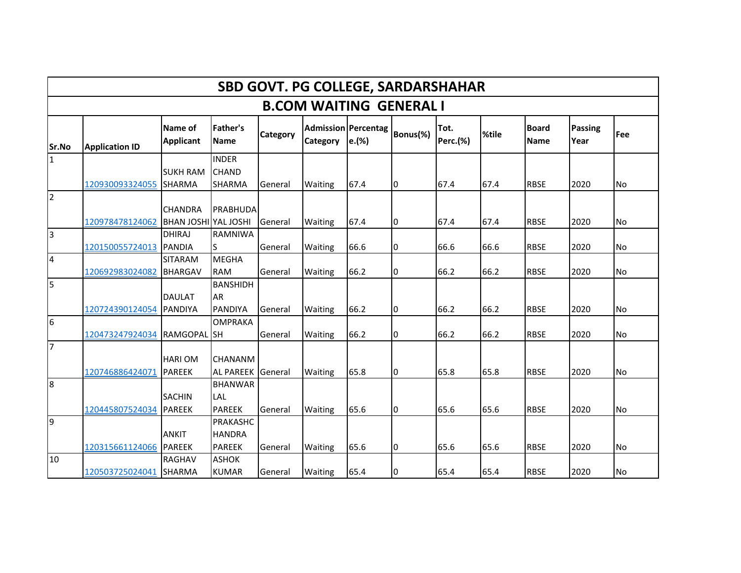|                         |                                |                                    |                                  |                 | <b>SBD GOVT. PG COLLEGE, SARDARSHAHAR</b> |                                     |          |                         |       |                             |                 |            |  |  |  |
|-------------------------|--------------------------------|------------------------------------|----------------------------------|-----------------|-------------------------------------------|-------------------------------------|----------|-------------------------|-------|-----------------------------|-----------------|------------|--|--|--|
|                         | <b>B.COM WAITING GENERAL I</b> |                                    |                                  |                 |                                           |                                     |          |                         |       |                             |                 |            |  |  |  |
| Sr.No                   | <b>Application ID</b>          | <b>Name of</b><br><b>Applicant</b> | <b>Father's</b><br><b>Name</b>   | <b>Category</b> | Category                                  | <b>Admission Percentag</b><br>e.(%) | Bonus(%) | Tot.<br><b>Perc.(%)</b> | %tile | <b>Board</b><br><b>Name</b> | Passing<br>Year | <b>Fee</b> |  |  |  |
| 11                      |                                |                                    | <b>INDER</b>                     |                 |                                           |                                     |          |                         |       |                             |                 |            |  |  |  |
|                         | 120930093324055                | <b>SUKH RAM</b><br><b>SHARMA</b>   | <b>CHAND</b><br><b>SHARMA</b>    | General         | <b>Waiting</b>                            | 67.4                                | 10       | 67.4                    | 67.4  | <b>RBSE</b>                 | 2020            | <b>No</b>  |  |  |  |
| $\overline{2}$          |                                |                                    |                                  |                 |                                           |                                     |          |                         |       |                             |                 |            |  |  |  |
|                         |                                | <b>CHANDRA</b>                     | <b>PRABHUDA</b>                  |                 |                                           |                                     |          |                         |       |                             |                 |            |  |  |  |
|                         | 120978478124062                | <b>BHAN JOSHI YAL JOSHI</b>        |                                  | General         | Waiting                                   | 67.4                                | 10       | 67.4                    | 67.4  | <b>RBSE</b>                 | 2020            | <b>No</b>  |  |  |  |
| Iз                      |                                | <b>DHIRAJ</b>                      | <b>RAMNIWA</b>                   |                 |                                           |                                     |          |                         |       |                             |                 |            |  |  |  |
|                         | 120150055724013                | <b>PANDIA</b>                      | lS                               | General         | Waiting                                   | 66.6                                | 10       | 66.6                    | 66.6  | <b>RBSE</b>                 | 2020            | No         |  |  |  |
| $\overline{\mathbf{4}}$ |                                | <b>SITARAM</b>                     | <b>MEGHA</b>                     |                 |                                           |                                     |          |                         |       |                             |                 |            |  |  |  |
|                         | 120692983024082                | <b>BHARGAV</b>                     | <b>RAM</b>                       | General         | <b>Waiting</b>                            | 66.2                                | 0        | 66.2                    | 66.2  | <b>RBSE</b>                 | 2020            | <b>No</b>  |  |  |  |
| 5                       |                                |                                    | <b>BANSHIDH</b>                  |                 |                                           |                                     |          |                         |       |                             |                 |            |  |  |  |
|                         |                                | <b>DAULAT</b>                      | AR                               |                 |                                           |                                     |          |                         |       |                             |                 |            |  |  |  |
| 6                       | 120724390124054 PANDIYA        |                                    | <b>PANDIYA</b><br><b>OMPRAKA</b> | General         | Waiting                                   | 66.2                                | 10       | 66.2                    | 66.2  | <b>RBSE</b>                 | 2020            | lNo        |  |  |  |
|                         | 120473247924034                | <b>RAMGOPAL</b> SH                 |                                  | General         | Waiting                                   | 66.2                                | 0        | 66.2                    | 66.2  | <b>RBSE</b>                 | 2020            | <b>No</b>  |  |  |  |
| $\overline{7}$          |                                |                                    |                                  |                 |                                           |                                     |          |                         |       |                             |                 |            |  |  |  |
|                         |                                | <b>HARIOM</b>                      | <b>CHANANM</b>                   |                 |                                           |                                     |          |                         |       |                             |                 |            |  |  |  |
|                         | 120746886424071                | PAREEK                             | AL PAREEK General                |                 | Waiting                                   | 65.8                                | I0       | 65.8                    | 65.8  | <b>RBSE</b>                 | 2020            | <b>No</b>  |  |  |  |
| 8                       |                                |                                    | <b>BHANWAR</b>                   |                 |                                           |                                     |          |                         |       |                             |                 |            |  |  |  |
|                         |                                | <b>SACHIN</b>                      | <b>LAL</b>                       |                 |                                           |                                     |          |                         |       |                             |                 |            |  |  |  |
|                         | 120445807524034                | <b>PAREEK</b>                      | <b>PAREEK</b>                    | General         | Waiting                                   | 65.6                                | 10       | 65.6                    | 65.6  | <b>RBSE</b>                 | 2020            | <b>No</b>  |  |  |  |
| 9                       |                                |                                    | <b>PRAKASHC</b>                  |                 |                                           |                                     |          |                         |       |                             |                 |            |  |  |  |
|                         |                                | <b>ANKIT</b>                       | <b>HANDRA</b>                    |                 |                                           |                                     |          |                         |       |                             |                 |            |  |  |  |
|                         | 120315661124066 PAREEK         |                                    | <b>PAREEK</b>                    | General         | Waiting                                   | 65.6                                | 0        | 65.6                    | 65.6  | <b>RBSE</b>                 | 2020            | <b>No</b>  |  |  |  |
| 10                      |                                | <b>RAGHAV</b>                      | <b>ASHOK</b>                     |                 |                                           |                                     |          |                         |       |                             |                 |            |  |  |  |
|                         | 120503725024041 SHARMA         |                                    | <b>KUMAR</b>                     | General         | <b>Waiting</b>                            | 65.4                                | 10       | 65.4                    | 65.4  | <b>RBSE</b>                 | 2020            | No         |  |  |  |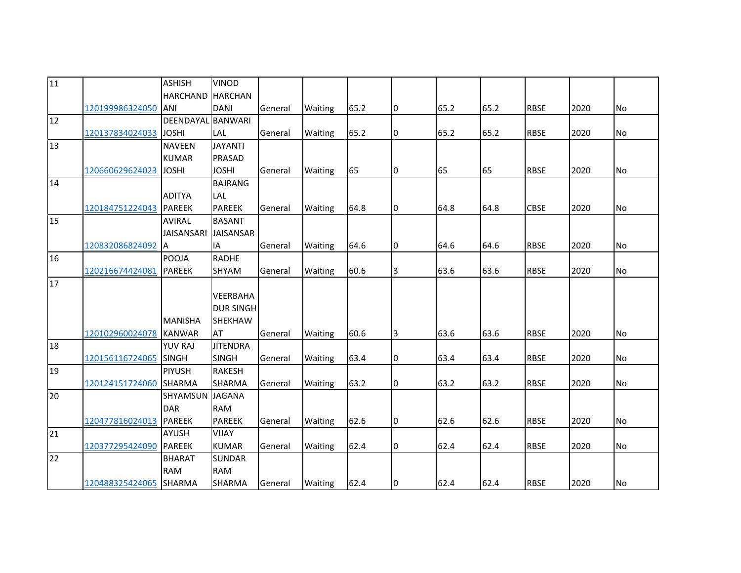| $\overline{11}$ |                        | <b>ASHISH</b>     | <b>VINOD</b>     |         |                |      |    |      |      |             |      |           |
|-----------------|------------------------|-------------------|------------------|---------|----------------|------|----|------|------|-------------|------|-----------|
|                 |                        | <b>HARCHAND</b>   | <b>HARCHAN</b>   |         |                |      |    |      |      |             |      |           |
|                 | 120199986324050        | ANI               | <b>DANI</b>      | General | Waiting        | 65.2 | 10 | 65.2 | 65.2 | <b>RBSE</b> | 2020 | No        |
| 12              |                        | DEENDAYAL BANWARI |                  |         |                |      |    |      |      |             |      |           |
|                 | 120137834024033        | <b>JOSHI</b>      | <b>LAL</b>       | General | Waiting        | 65.2 | 0  | 65.2 | 65.2 | <b>RBSE</b> | 2020 | No        |
| 13              |                        | <b>NAVEEN</b>     | <b>JAYANTI</b>   |         |                |      |    |      |      |             |      |           |
|                 |                        | <b>KUMAR</b>      | <b>PRASAD</b>    |         |                |      |    |      |      |             |      |           |
|                 | 120660629624023        | <b>JOSHI</b>      | <b>JOSHI</b>     | General | Waiting        | 65   | 0  | 65   | 65   | <b>RBSE</b> | 2020 | <b>No</b> |
| 14              |                        |                   | <b>BAJRANG</b>   |         |                |      |    |      |      |             |      |           |
|                 |                        | <b>ADITYA</b>     | LAL              |         |                |      |    |      |      |             |      |           |
|                 | 120184751224043 PAREEK |                   | <b>PAREEK</b>    | General | Waiting        | 64.8 | 10 | 64.8 | 64.8 | <b>CBSE</b> | 2020 | <b>No</b> |
| 15              |                        | <b>AVIRAL</b>     | <b>BASANT</b>    |         |                |      |    |      |      |             |      |           |
|                 |                        | <b>JAISANSARI</b> | <b>JAISANSAR</b> |         |                |      |    |      |      |             |      |           |
|                 | 120832086824092        | A                 | <b>IA</b>        | General | Waiting        | 64.6 | 0  | 64.6 | 64.6 | <b>RBSE</b> | 2020 | <b>No</b> |
| 16              |                        | <b>POOJA</b>      | <b>RADHE</b>     |         |                |      |    |      |      |             |      |           |
|                 | 120216674424081 PAREEK |                   | SHYAM            | General | Waiting        | 60.6 | 3  | 63.6 | 63.6 | <b>RBSE</b> | 2020 | No        |
| 17              |                        |                   |                  |         |                |      |    |      |      |             |      |           |
|                 |                        |                   | <b>VEERBAHA</b>  |         |                |      |    |      |      |             |      |           |
|                 |                        |                   | <b>DUR SINGH</b> |         |                |      |    |      |      |             |      |           |
|                 |                        | <b>MANISHA</b>    | <b>SHEKHAW</b>   |         |                |      |    |      |      |             |      |           |
|                 | 120102960024078        | <b>KANWAR</b>     | <b>AT</b>        | General | <b>Waiting</b> | 60.6 | 3  | 63.6 | 63.6 | <b>RBSE</b> | 2020 | <b>No</b> |
| 18              |                        | <b>YUV RAJ</b>    | <b>JITENDRA</b>  |         |                |      |    |      |      |             |      |           |
|                 | 120156116724065 SINGH  |                   | <b>SINGH</b>     | General | Waiting        | 63.4 | 10 | 63.4 | 63.4 | <b>RBSE</b> | 2020 | <b>No</b> |
| 19              |                        | <b>PIYUSH</b>     | <b>RAKESH</b>    |         |                |      |    |      |      |             |      |           |
|                 | 120124151724060        | <b>SHARMA</b>     | <b>SHARMA</b>    | General | Waiting        | 63.2 | 10 | 63.2 | 63.2 | <b>RBSE</b> | 2020 | <b>No</b> |
| 20              |                        | SHYAMSUN JAGANA   |                  |         |                |      |    |      |      |             |      |           |
|                 |                        | <b>DAR</b>        | <b>RAM</b>       |         |                |      |    |      |      |             |      |           |
|                 | 120477816024013 PAREEK |                   | <b>PAREEK</b>    | General | Waiting        | 62.6 | l0 | 62.6 | 62.6 | <b>RBSE</b> | 2020 | No        |
| 21              |                        | <b>AYUSH</b>      | <b>VIJAY</b>     |         |                |      |    |      |      |             |      |           |
|                 | 120377295424090        | <b>PAREEK</b>     | <b>KUMAR</b>     | General | Waiting        | 62.4 | l0 | 62.4 | 62.4 | <b>RBSE</b> | 2020 | <b>No</b> |
| 22              |                        | <b>BHARAT</b>     | <b>SUNDAR</b>    |         |                |      |    |      |      |             |      |           |
|                 |                        | <b>RAM</b>        | <b>RAM</b>       |         |                |      |    |      |      |             |      |           |
|                 | 120488325424065 SHARMA |                   | <b>SHARMA</b>    | General | Waiting        | 62.4 | 10 | 62.4 | 62.4 | <b>RBSE</b> | 2020 | No        |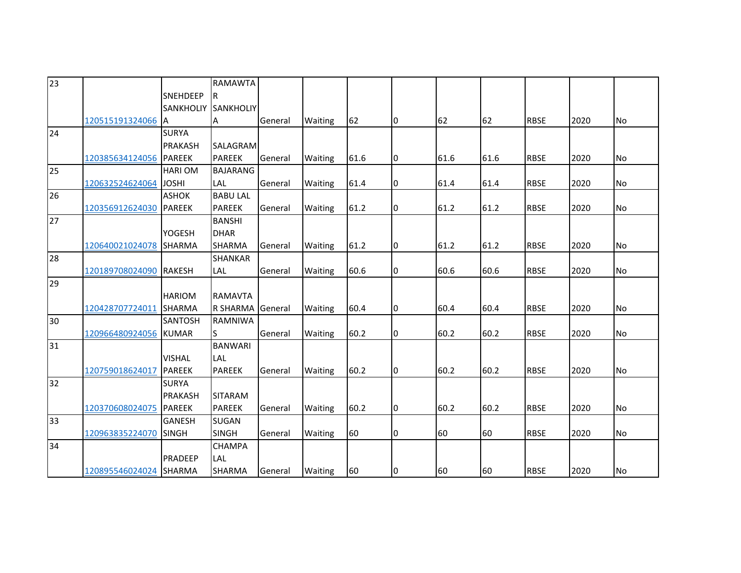| 23 |                        |                  | RAMAWTA          |         |                |      |    |      |      |             |      |                |
|----|------------------------|------------------|------------------|---------|----------------|------|----|------|------|-------------|------|----------------|
|    |                        | <b>SNEHDEEP</b>  | R                |         |                |      |    |      |      |             |      |                |
|    |                        | <b>SANKHOLIY</b> | <b>SANKHOLIY</b> |         |                |      |    |      |      |             |      |                |
|    | 120515191324066        | -lA              | А                | General | <b>Waiting</b> | 62   | 0  | 62   | 62   | <b>RBSE</b> | 2020 | No.            |
| 24 |                        | <b>SURYA</b>     |                  |         |                |      |    |      |      |             |      |                |
|    |                        | <b>PRAKASH</b>   | SALAGRAM         |         |                |      |    |      |      |             |      |                |
|    | 120385634124056 PAREEK |                  | <b>PAREEK</b>    | General | <b>Waiting</b> | 61.6 | 0  | 61.6 | 61.6 | <b>RBSE</b> | 2020 | N <sub>o</sub> |
| 25 |                        | <b>HARIOM</b>    | <b>BAJARANG</b>  |         |                |      |    |      |      |             |      |                |
|    | 120632524624064        | <b>JOSHI</b>     | LAL              | General | Waiting        | 61.4 | 0  | 61.4 | 61.4 | <b>RBSE</b> | 2020 | No             |
| 26 |                        | <b>ASHOK</b>     | <b>BABU LAL</b>  |         |                |      |    |      |      |             |      |                |
|    | 120356912624030        | <b>PAREEK</b>    | <b>PAREEK</b>    | General | Waiting        | 61.2 | 0  | 61.2 | 61.2 | <b>RBSE</b> | 2020 | No             |
| 27 |                        |                  | <b>BANSHI</b>    |         |                |      |    |      |      |             |      |                |
|    |                        | YOGESH           | <b>DHAR</b>      |         |                |      |    |      |      |             |      |                |
|    | 120640021024078        | <b>SHARMA</b>    | SHARMA           | General | Waiting        | 61.2 | I0 | 61.2 | 61.2 | <b>RBSE</b> | 2020 | No             |
| 28 |                        |                  | <b>SHANKAR</b>   |         |                |      |    |      |      |             |      |                |
|    | 120189708024090        | <b>RAKESH</b>    | LAL              | General | Waiting        | 60.6 | 0  | 60.6 | 60.6 | <b>RBSE</b> | 2020 | <b>No</b>      |
| 29 |                        |                  |                  |         |                |      |    |      |      |             |      |                |
|    |                        | <b>HARIOM</b>    | <b>RAMAVTA</b>   |         |                |      |    |      |      |             |      |                |
|    | 120428707724011 SHARMA |                  | R SHARMA General |         | Waiting        | 60.4 | 0  | 60.4 | 60.4 | <b>RBSE</b> | 2020 | No             |
| 30 |                        | <b>SANTOSH</b>   | <b>RAMNIWA</b>   |         |                |      |    |      |      |             |      |                |
|    | 120966480924056        | <b>KUMAR</b>     | S                | General | Waiting        | 60.2 | 0  | 60.2 | 60.2 | <b>RBSE</b> | 2020 | No             |
| 31 |                        |                  | <b>BANWARI</b>   |         |                |      |    |      |      |             |      |                |
|    |                        | <b>VISHAL</b>    | LAL              |         |                |      |    |      |      |             |      |                |
|    | 120759018624017        | <b>PAREEK</b>    | <b>PAREEK</b>    | General | Waiting        | 60.2 | 0  | 60.2 | 60.2 | <b>RBSE</b> | 2020 | <b>No</b>      |
| 32 |                        | <b>SURYA</b>     |                  |         |                |      |    |      |      |             |      |                |
|    |                        | <b>PRAKASH</b>   | <b>SITARAM</b>   |         |                |      |    |      |      |             |      |                |
|    | 120370608024075        | <b>PAREEK</b>    | <b>PAREEK</b>    | General | Waiting        | 60.2 | 0  | 60.2 | 60.2 | <b>RBSE</b> | 2020 | N <sub>o</sub> |
| 33 |                        | <b>GANESH</b>    | SUGAN            |         |                |      |    |      |      |             |      |                |
|    | 120963835224070        | <b>SINGH</b>     | <b>SINGH</b>     | General | Waiting        | 60   | 0  | 60   | 60   | <b>RBSE</b> | 2020 | No             |
| 34 |                        |                  | CHAMPA           |         |                |      |    |      |      |             |      |                |
|    |                        | <b>PRADEEP</b>   | LAL              |         |                |      |    |      |      |             |      |                |
|    | 120895546024024 SHARMA |                  | SHARMA           | General | <b>Waiting</b> | 60   | 10 | 60   | 60   | <b>RBSE</b> | 2020 | No             |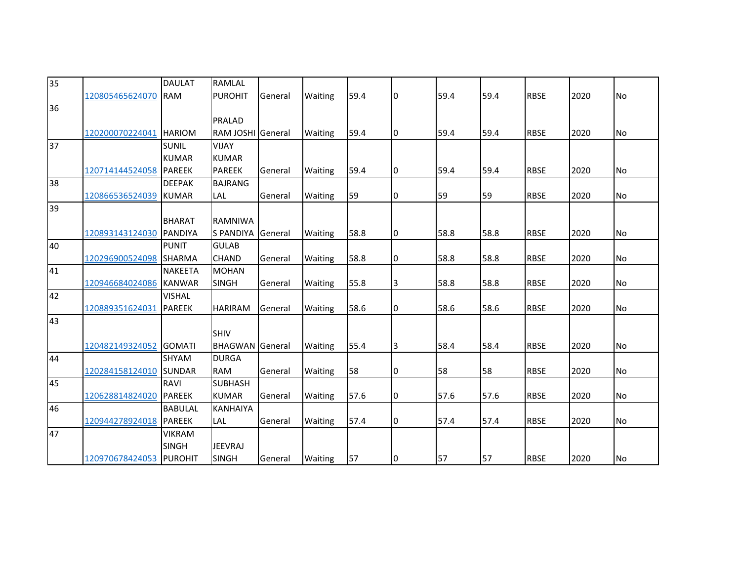| 35 |                         | <b>DAULAT</b>  | RAMLAL                 |         |                |      |                |      |      |             |      |           |
|----|-------------------------|----------------|------------------------|---------|----------------|------|----------------|------|------|-------------|------|-----------|
|    |                         |                |                        |         |                |      |                |      |      |             |      |           |
|    | 120805465624070         | <b>RAM</b>     | <b>PUROHIT</b>         | General | Waiting        | 59.4 | 0              | 59.4 | 59.4 | <b>RBSE</b> | 2020 | No        |
| 36 |                         |                |                        |         |                |      |                |      |      |             |      |           |
|    |                         |                | <b>PRALAD</b>          |         |                |      |                |      |      |             |      |           |
|    | 120200070224041 HARIOM  |                | RAM JOSHI General      |         | <b>Waiting</b> | 59.4 | 10             | 59.4 | 59.4 | <b>RBSE</b> | 2020 | No        |
| 37 |                         | <b>SUNIL</b>   | <b>VIJAY</b>           |         |                |      |                |      |      |             |      |           |
|    |                         | <b>KUMAR</b>   | <b>KUMAR</b>           |         |                |      |                |      |      |             |      |           |
|    | 120714144524058 PAREEK  |                | <b>PAREEK</b>          | General | Waiting        | 59.4 | I0             | 59.4 | 59.4 | <b>RBSE</b> | 2020 | <b>No</b> |
| 38 |                         | <b>DEEPAK</b>  | <b>BAJRANG</b>         |         |                |      |                |      |      |             |      |           |
|    | 120866536524039         | KUMAR          | LAL                    | General | Waiting        | 59   | 0              | 59   | 59   | <b>RBSE</b> | 2020 | No        |
| 39 |                         |                |                        |         |                |      |                |      |      |             |      |           |
|    |                         | <b>BHARAT</b>  | <b>RAMNIWA</b>         |         |                |      |                |      |      |             |      |           |
|    | 120893143124030         | <b>PANDIYA</b> | <b>S PANDIYA</b>       | General | <b>Waiting</b> | 58.8 | I0             | 58.8 | 58.8 | <b>RBSE</b> | 2020 | <b>No</b> |
| 40 |                         | <b>PUNIT</b>   | <b>GULAB</b>           |         |                |      |                |      |      |             |      |           |
|    | 120296900524098 SHARMA  |                | <b>CHAND</b>           | General | Waiting        | 58.8 | 0              | 58.8 | 58.8 | <b>RBSE</b> | 2020 | <b>No</b> |
| 41 |                         | <b>NAKEETA</b> | <b>MOHAN</b>           |         |                |      |                |      |      |             |      |           |
|    | 120946684024086         | <b>KANWAR</b>  | <b>SINGH</b>           | General | Waiting        | 55.8 | 3              | 58.8 | 58.8 | <b>RBSE</b> | 2020 | No        |
| 42 |                         | <b>VISHAL</b>  |                        |         |                |      |                |      |      |             |      |           |
|    | 120889351624031         | <b>PAREEK</b>  | <b>HARIRAM</b>         | General | Waiting        | 58.6 | 10             | 58.6 | 58.6 | <b>RBSE</b> | 2020 | No        |
| 43 |                         |                |                        |         |                |      |                |      |      |             |      |           |
|    |                         |                | SHIV                   |         |                |      |                |      |      |             |      |           |
|    | 120482149324052         | <b>GOMATI</b>  | <b>BHAGWAN</b> General |         | Waiting        | 55.4 | $\overline{3}$ | 58.4 | 58.4 | <b>RBSE</b> | 2020 | No        |
| 44 |                         | <b>SHYAM</b>   | <b>DURGA</b>           |         |                |      |                |      |      |             |      |           |
|    | 120284158124010 SUNDAR  |                | <b>RAM</b>             | General | Waiting        | 58   | 0              | 58   | 58   | <b>RBSE</b> | 2020 | No        |
| 45 |                         | <b>RAVI</b>    | <b>SUBHASH</b>         |         |                |      |                |      |      |             |      |           |
|    | 120628814824020         | <b>PAREEK</b>  | <b>KUMAR</b>           | General | Waiting        | 57.6 | 10             | 57.6 | 57.6 | <b>RBSE</b> | 2020 | No        |
| 46 |                         | <b>BABULAL</b> | <b>KANHAIYA</b>        |         |                |      |                |      |      |             |      |           |
|    | 120944278924018         | <b>PAREEK</b>  | LAL                    | General | Waiting        | 57.4 | 0              | 57.4 | 57.4 | <b>RBSE</b> | 2020 | No        |
| 47 |                         | <b>VIKRAM</b>  |                        |         |                |      |                |      |      |             |      |           |
|    |                         | <b>SINGH</b>   | <b>JEEVRAJ</b>         |         |                |      |                |      |      |             |      |           |
|    |                         |                |                        |         |                |      |                |      |      |             |      |           |
|    | 120970678424053 PUROHIT |                | <b>SINGH</b>           | General | Waiting        | 57   | 10             | 57   | 57   | <b>RBSE</b> | 2020 | No        |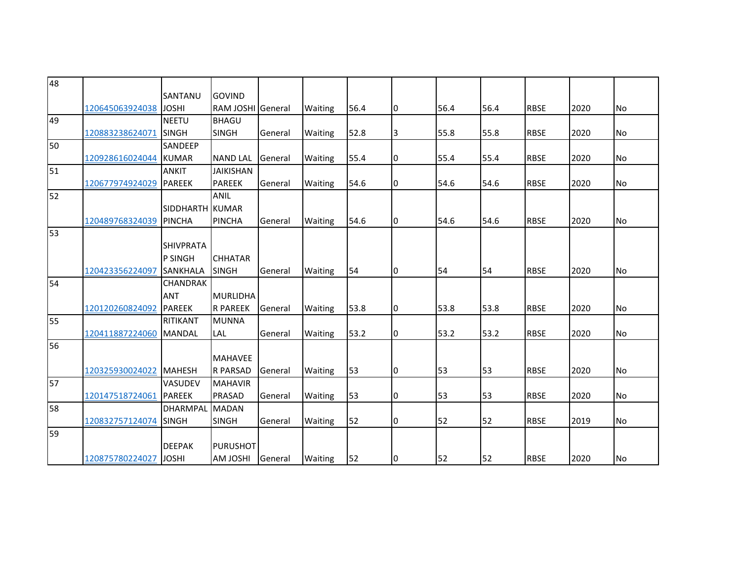| 48 |                       |                  |                          |         |                |      |    |      |      |             |      |           |
|----|-----------------------|------------------|--------------------------|---------|----------------|------|----|------|------|-------------|------|-----------|
|    |                       | SANTANU          | <b>GOVIND</b>            |         |                |      |    |      |      |             |      |           |
|    | 120645063924038 JOSHI |                  | <b>RAM JOSHI General</b> |         | Waiting        | 56.4 | 10 | 56.4 | 56.4 | <b>RBSE</b> | 2020 | <b>No</b> |
| 49 |                       | <b>NEETU</b>     | <b>BHAGU</b>             |         |                |      |    |      |      |             |      |           |
|    | 120883238624071       | <b>SINGH</b>     | <b>SINGH</b>             | General | Waiting        | 52.8 | 3  | 55.8 | 55.8 | <b>RBSE</b> | 2020 | No        |
| 50 |                       | <b>SANDEEP</b>   |                          |         |                |      |    |      |      |             |      |           |
|    | 120928616024044 KUMAR |                  | <b>NAND LAL</b>          | General | Waiting        | 55.4 | 0  | 55.4 | 55.4 | <b>RBSE</b> | 2020 | No        |
| 51 |                       | <b>ANKIT</b>     | <b>JAIKISHAN</b>         |         |                |      |    |      |      |             |      |           |
|    | 120677974924029       | <b>PAREEK</b>    | <b>PAREEK</b>            | General | Waiting        | 54.6 | 10 | 54.6 | 54.6 | <b>RBSE</b> | 2020 | No        |
| 52 |                       |                  | <b>ANIL</b>              |         |                |      |    |      |      |             |      |           |
|    |                       | SIDDHARTH KUMAR  |                          |         |                |      |    |      |      |             |      |           |
|    | 120489768324039       | <b>PINCHA</b>    | <b>PINCHA</b>            | General | Waiting        | 54.6 | 10 | 54.6 | 54.6 | <b>RBSE</b> | 2020 | No        |
| 53 |                       |                  |                          |         |                |      |    |      |      |             |      |           |
|    |                       | <b>SHIVPRATA</b> |                          |         |                |      |    |      |      |             |      |           |
|    |                       | <b>P SINGH</b>   | <b>CHHATAR</b>           |         |                |      |    |      |      |             |      |           |
|    | 120423356224097       | SANKHALA         | <b>SINGH</b>             | General | Waiting        | 54   | 10 | 54   | 54   | <b>RBSE</b> | 2020 | No        |
| 54 |                       | <b>CHANDRAK</b>  |                          |         |                |      |    |      |      |             |      |           |
|    |                       | <b>ANT</b>       | <b>MURLIDHA</b>          |         |                |      |    |      |      |             |      |           |
|    | 120120260824092       | <b>PAREEK</b>    | <b>R PAREEK</b>          | General | Waiting        | 53.8 | l0 | 53.8 | 53.8 | <b>RBSE</b> | 2020 | <b>No</b> |
| 55 |                       | RITIKANT         | <b>MUNNA</b>             |         |                |      |    |      |      |             |      |           |
|    | 120411887224060       | <b>MANDAL</b>    | <b>LAL</b>               | General | Waiting        | 53.2 | 10 | 53.2 | 53.2 | <b>RBSE</b> | 2020 | No        |
| 56 |                       |                  |                          |         |                |      |    |      |      |             |      |           |
|    |                       |                  | <b>MAHAVEE</b>           |         |                |      |    |      |      |             |      |           |
|    | 120325930024022       | <b>MAHESH</b>    | <b>R PARSAD</b>          | General | Waiting        | 53   | I0 | 53   | 53   | <b>RBSE</b> | 2020 | <b>No</b> |
| 57 |                       | <b>VASUDEV</b>   | <b>MAHAVIR</b>           |         |                |      |    |      |      |             |      |           |
|    | 120147518724061       | <b>PAREEK</b>    | <b>PRASAD</b>            | General | Waiting        | 53   | 10 | 53   | 53   | <b>RBSE</b> | 2020 | No        |
| 58 |                       | <b>DHARMPAL</b>  | <b>MADAN</b>             |         |                |      |    |      |      |             |      |           |
|    | 120832757124074       | <b>SINGH</b>     | <b>SINGH</b>             | General | Waiting        | 52   | 0  | 52   | 52   | <b>RBSE</b> | 2019 | No        |
| 59 |                       |                  |                          |         |                |      |    |      |      |             |      |           |
|    |                       | <b>DEEPAK</b>    | <b>PURUSHOT</b>          |         |                |      |    |      |      |             |      |           |
|    | 120875780224027       | <b>JOSHI</b>     | <b>IHZOL MA</b>          | General | <b>Waiting</b> | 52   | 10 | 52   | 52   | <b>RBSE</b> | 2020 | No        |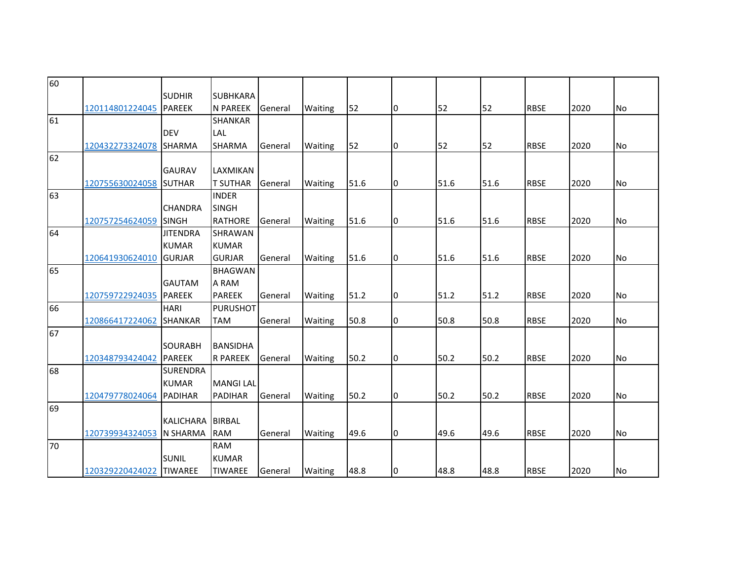| 60 |                          |                  |                          |         |         |      |    |      |      |             |      |           |
|----|--------------------------|------------------|--------------------------|---------|---------|------|----|------|------|-------------|------|-----------|
|    |                          | <b>SUDHIR</b>    | <b>SUBHKARA</b>          |         |         |      |    |      |      |             |      |           |
|    | 120114801224045          | PAREEK           | <b>N PAREEK</b>          | General | Waiting | 52   | 10 | 52   | 52   | <b>RBSE</b> | 2020 | <b>No</b> |
| 61 |                          |                  | <b>SHANKAR</b>           |         |         |      |    |      |      |             |      |           |
|    |                          | <b>DEV</b>       | LAL                      |         |         |      |    |      |      |             |      |           |
|    | 120432273324078 SHARMA   |                  | SHARMA                   | General | Waiting | 52   | 10 | 52   | 52   | <b>RBSE</b> | 2020 | No        |
| 62 |                          |                  |                          |         |         |      |    |      |      |             |      |           |
|    |                          | <b>GAURAV</b>    | LAXMIKAN                 |         |         |      |    |      |      |             |      |           |
|    | 120755630024058 SUTHAR   |                  | <b>T SUTHAR</b>          | General | Waiting | 51.6 | 10 | 51.6 | 51.6 | <b>RBSE</b> | 2020 | <b>No</b> |
| 63 |                          |                  | <b>INDER</b>             |         |         |      |    |      |      |             |      |           |
|    |                          | <b>CHANDRA</b>   | <b>SINGH</b>             |         |         |      |    |      |      |             |      |           |
|    | 120757254624059          | <b>SINGH</b>     | <b>RATHORE</b>           | General | Waiting | 51.6 | l0 | 51.6 | 51.6 | <b>RBSE</b> | 2020 | No        |
| 64 |                          | <b>JITENDRA</b>  | <b>SHRAWAN</b>           |         |         |      |    |      |      |             |      |           |
|    |                          | <b>KUMAR</b>     | <b>KUMAR</b>             |         |         |      |    |      |      |             |      |           |
|    | 120641930624010          | <b>GURJAR</b>    | <b>GURJAR</b>            | General | Waiting | 51.6 | 0  | 51.6 | 51.6 | <b>RBSE</b> | 2020 | <b>No</b> |
| 65 |                          |                  | <b>BHAGWAN</b>           |         |         |      |    |      |      |             |      |           |
|    |                          | <b>GAUTAM</b>    | A RAM                    |         |         |      |    |      |      |             |      |           |
|    | 120759722924035 PAREEK   |                  | <b>PAREEK</b>            | General | Waiting | 51.2 | 10 | 51.2 | 51.2 | <b>RBSE</b> | 2020 | <b>No</b> |
| 66 |                          | <b>HARI</b>      | <b>PURUSHOT</b>          |         |         |      |    |      |      |             |      |           |
|    | 120866417224062          | <b>SHANKAR</b>   | <b>TAM</b>               | General | Waiting | 50.8 | 10 | 50.8 | 50.8 | <b>RBSE</b> | 2020 | No        |
| 67 |                          |                  |                          |         |         |      |    |      |      |             |      |           |
|    |                          | <b>SOURABH</b>   | <b>BANSIDHA</b>          |         |         |      |    |      |      |             |      |           |
|    | 120348793424042          | PAREEK           | <b>R PAREEK</b>          | General | Waiting | 50.2 | 10 | 50.2 | 50.2 | <b>RBSE</b> | 2020 | No        |
| 68 |                          | <b>SURENDRA</b>  |                          |         |         |      |    |      |      |             |      |           |
|    |                          | <b>KUMAR</b>     | <b>MANGILAL</b>          |         |         |      |    |      |      |             |      |           |
|    | 120479778024064 PADIHAR  |                  | <b>PADIHAR</b>           | General | Waiting | 50.2 | Iо | 50.2 | 50.2 | <b>RBSE</b> | 2020 | <b>No</b> |
| 69 |                          |                  |                          |         |         |      |    |      |      |             |      |           |
|    |                          | <b>KALICHARA</b> | <b>BIRBAL</b>            |         |         |      |    |      |      |             |      |           |
| 70 | 120739934324053 N SHARMA |                  | <b>RAM</b><br><b>RAM</b> | General | Waiting | 49.6 | I0 | 49.6 | 49.6 | <b>RBSE</b> | 2020 | <b>No</b> |
|    |                          |                  |                          |         |         |      |    |      |      |             |      |           |
|    |                          | <b>SUNIL</b>     | <b>KUMAR</b>             |         |         |      |    |      |      |             |      |           |
|    | 120329220424022 TIWAREE  |                  | <b>TIWAREE</b>           | General | Waiting | 48.8 | I0 | 48.8 | 48.8 | <b>RBSE</b> | 2020 | No        |